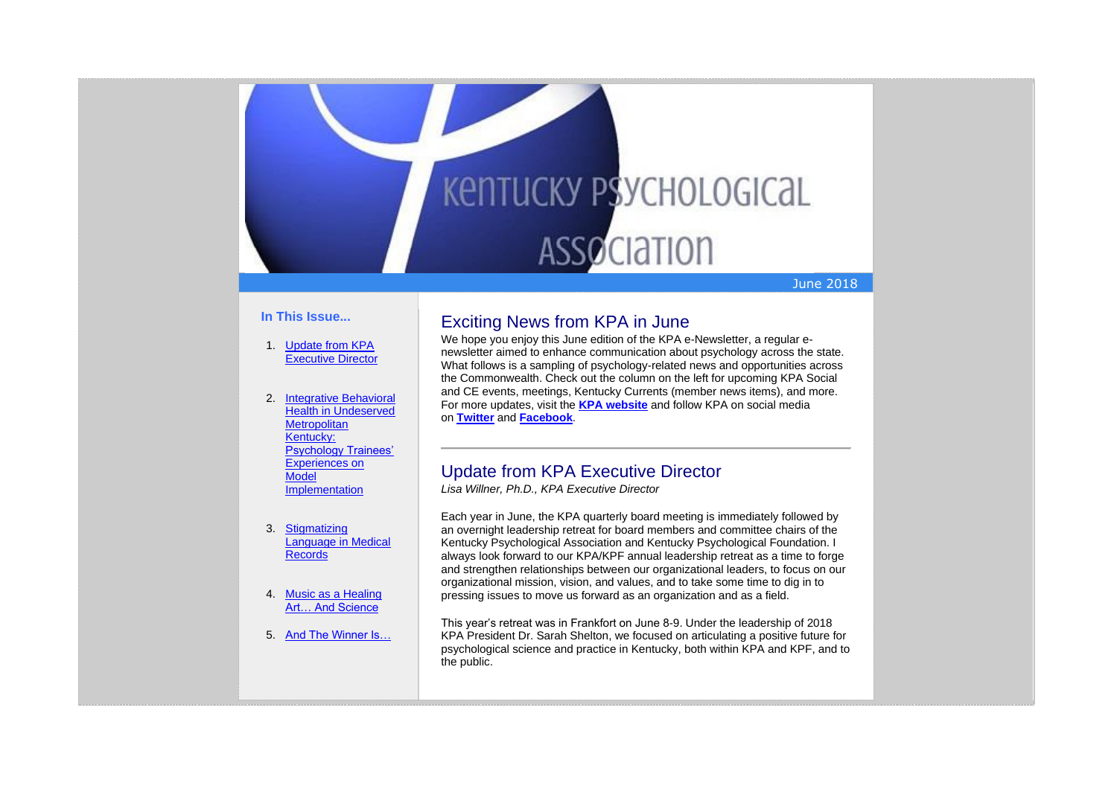# **KENTUCKY PSYCHOLOGICAL ASSOCIATION**

#### June 2018

#### **In This Issue...**

- 1. [Update from KPA](https://kpa.memberclicks.net/administrator/index.php?option=com_mccore&view=contactcenter#Exec)  [Executive Director](https://kpa.memberclicks.net/administrator/index.php?option=com_mccore&view=contactcenter#Exec)
- 2. [Integrative Behavioral](https://kpa.memberclicks.net/administrator/index.php?option=com_mccore&view=contactcenter#IntegrativeBehavioralHealth)  [Health in Undeserved](https://kpa.memberclicks.net/administrator/index.php?option=com_mccore&view=contactcenter#IntegrativeBehavioralHealth)  **Metropolitan** [Kentucky:](https://kpa.memberclicks.net/administrator/index.php?option=com_mccore&view=contactcenter#IntegrativeBehavioralHealth)  [Psychology Trainees'](https://kpa.memberclicks.net/administrator/index.php?option=com_mccore&view=contactcenter#IntegrativeBehavioralHealth)  [Experiences on](https://kpa.memberclicks.net/administrator/index.php?option=com_mccore&view=contactcenter#IntegrativeBehavioralHealth)  **Model [Implementation](https://kpa.memberclicks.net/administrator/index.php?option=com_mccore&view=contactcenter#IntegrativeBehavioralHealth)**
- 3. [Stigmatizing](https://kpa.memberclicks.net/administrator/index.php?option=com_mccore&view=contactcenter#MedicalRecords)  [Language in Medical](https://kpa.memberclicks.net/administrator/index.php?option=com_mccore&view=contactcenter#MedicalRecords)  [Records](https://kpa.memberclicks.net/administrator/index.php?option=com_mccore&view=contactcenter#MedicalRecords)
- 4. [Music as a Healing](https://kpa.memberclicks.net/administrator/index.php?option=com_mccore&view=contactcenter#Music)  [Art… And Science](https://kpa.memberclicks.net/administrator/index.php?option=com_mccore&view=contactcenter#Music)
- 5. [And The Winner Is…](https://kpa.memberclicks.net/administrator/index.php?option=com_mccore&view=contactcenter#SAS)

# Exciting News from KPA in June

We hope you enjoy this June edition of the KPA e-Newsletter, a regular enewsletter aimed to enhance communication about psychology across the state. What follows is a sampling of psychology-related news and opportunities across the Commonwealth. Check out the column on the left for upcoming KPA Social and CE events, meetings, Kentucky Currents (member news items), and more. For more updates, visit the **KPA [website](http://www.kpa.org/)** and follow KPA on social media on **[Twitter](https://twitter.com/KYPsychAssoc)** and **[Facebook](https://www.facebook.com/KentuckyPsychAssociation/)**.

# Update from KPA Executive Director

*Lisa Willner, Ph.D., KPA Executive Director*

Each year in June, the KPA quarterly board meeting is immediately followed by an overnight leadership retreat for board members and committee chairs of the Kentucky Psychological Association and Kentucky Psychological Foundation. I always look forward to our KPA/KPF annual leadership retreat as a time to forge and strengthen relationships between our organizational leaders, to focus on our organizational mission, vision, and values, and to take some time to dig in to pressing issues to move us forward as an organization and as a field.

This year's retreat was in Frankfort on June 8-9. Under the leadership of 2018 KPA President Dr. Sarah Shelton, we focused on articulating a positive future for psychological science and practice in Kentucky, both within KPA and KPF, and to the public.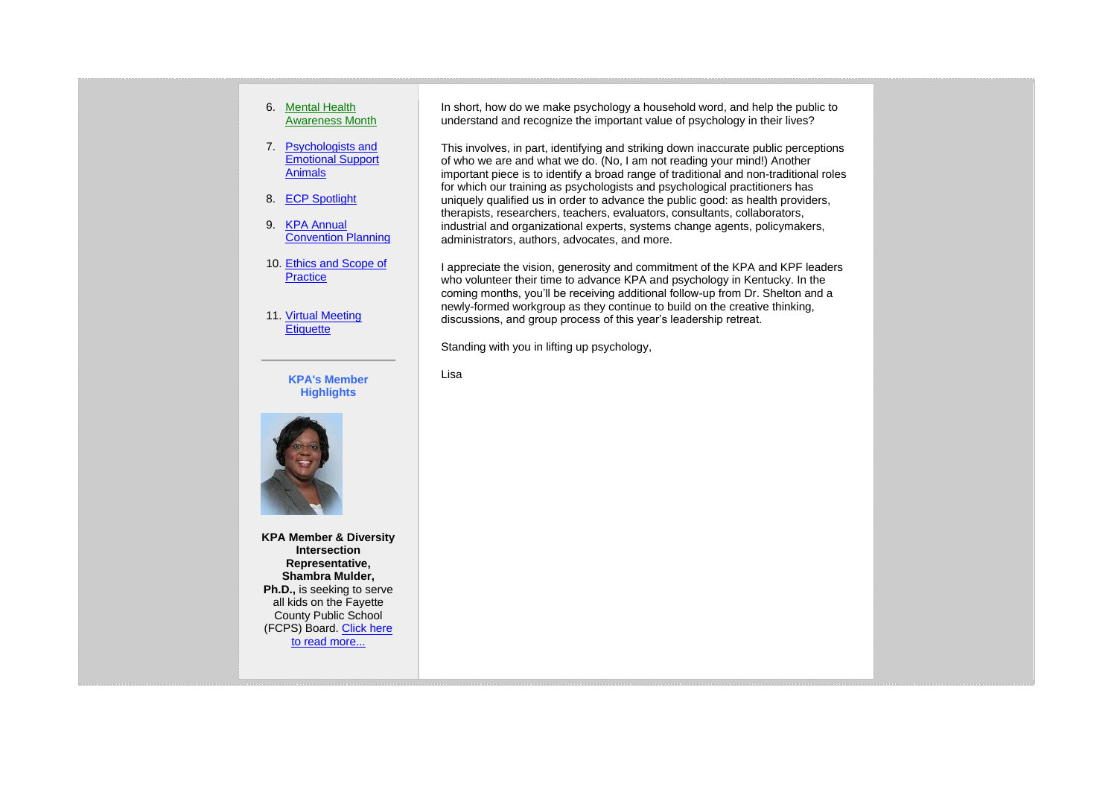#### 6. [Mental Health](https://kpa.memberclicks.net/administrator/index.php?option=com_mccore&view=contactcenter#MHAM)  [Awareness Month](https://kpa.memberclicks.net/administrator/index.php?option=com_mccore&view=contactcenter#MHAM)

- 7. [Psychologists and](https://kpa.memberclicks.net/administrator/index.php?option=com_mccore&view=contactcenter#ESA)  [Emotional Support](https://kpa.memberclicks.net/administrator/index.php?option=com_mccore&view=contactcenter#ESA)  [Animals](https://kpa.memberclicks.net/administrator/index.php?option=com_mccore&view=contactcenter#ESA)
- 8. [ECP Spotlight](https://kpa.memberclicks.net/administrator/index.php?option=com_mccore&view=contactcenter#ECP)
- 9. [KPA Annual](https://kpa.memberclicks.net/administrator/index.php?option=com_mccore&view=contactcenter#Conv)  [Convention Planning](https://kpa.memberclicks.net/administrator/index.php?option=com_mccore&view=contactcenter#Conv)
- 10. [Ethics and Scope of](https://kpa.memberclicks.net/administrator/index.php?option=com_mccore&view=contactcenter#Ethics)  **[Practice](https://kpa.memberclicks.net/administrator/index.php?option=com_mccore&view=contactcenter#Ethics)**
- 11. [Virtual Meeting](https://kpa.memberclicks.net/administrator/index.php?option=com_mccore&view=contactcenter#VirtualMeeting)  **[Etiquette](https://kpa.memberclicks.net/administrator/index.php?option=com_mccore&view=contactcenter#VirtualMeeting)**

**KPA's Member Highlights**



**KPA Member & Diversity Intersection Representative, Shambra Mulder, Ph.D.,** is seeking to serve all kids on the Fayette County Public School (FCPS) Board. [Click here](https://www.kpa.org/shambra-mulder)  [to read more...](https://www.kpa.org/shambra-mulder)

In short, how do we make psychology a household word, and help the public to understand and recognize the important value of psychology in their lives?

This involves, in part, identifying and striking down inaccurate public perceptions of who we are and what we do. (No, I am not reading your mind!) Another important piece is to identify a broad range of traditional and non-traditional roles for which our training as psychologists and psychological practitioners has uniquely qualified us in order to advance the public good: as health providers, therapists, researchers, teachers, evaluators, consultants, collaborators, industrial and organizational experts, systems change agents, policymakers, administrators, authors, advocates, and more.

I appreciate the vision, generosity and commitment of the KPA and KPF leaders who volunteer their time to advance KPA and psychology in Kentucky. In the coming months, you'll be receiving additional follow-up from Dr. Shelton and a newly-formed workgroup as they continue to build on the creative thinking, discussions, and group process of this year's leadership retreat.

Standing with you in lifting up psychology,

Lisa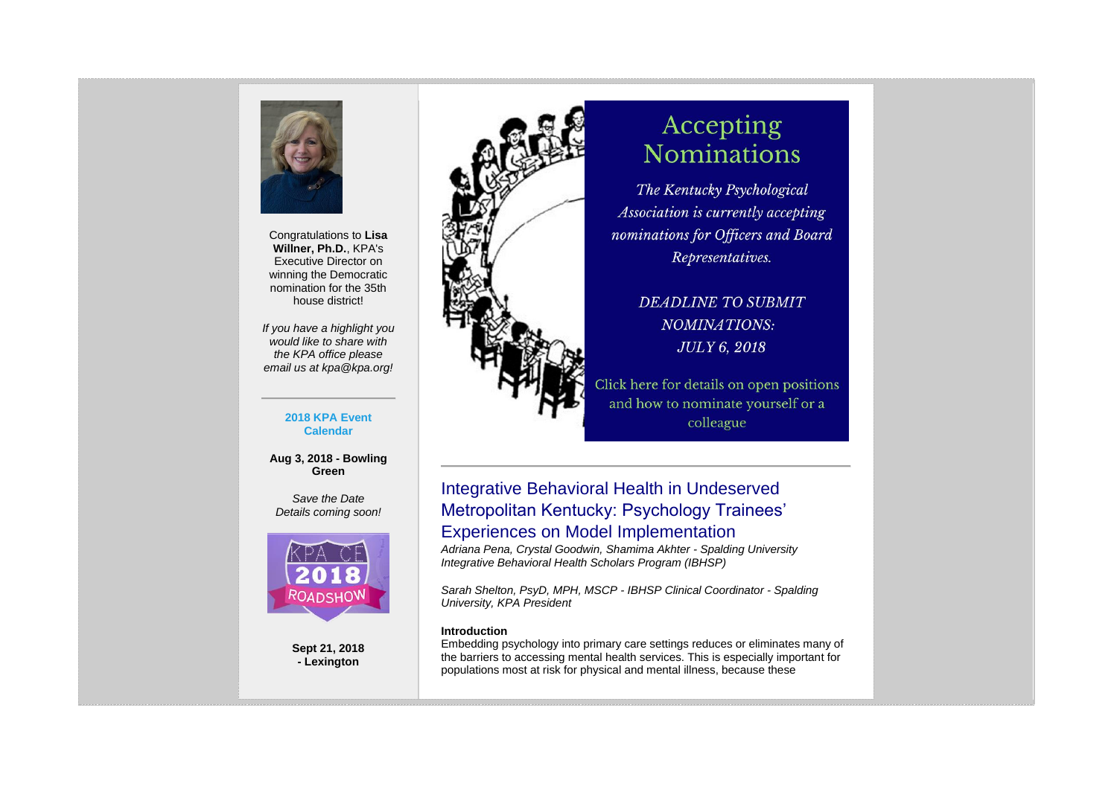

Congratulations to **Lisa Willner, Ph.D.**, KPA's Executive Director on winning the Democratic nomination for the 35th house district!

*If you have a highlight you would like to share with the KPA office please email us at kpa@kpa.org!*

#### **2018 KPA Event Calendar**

**Aug 3, 2018 - Bowling Green**

*Save the Date Details coming soon!*



**Sept 21, 2018 - Lexington**



# Accepting **Nominations**

The Kentucky Psychological Association is currently accepting nominations for Officers and Board Representatives.

> **DEADLINE TO SUBMIT** NOMINATIONS: **JULY 6, 2018**

Click here for details on open positions and how to nominate yourself or a colleague

# Integrative Behavioral Health in Undeserved Metropolitan Kentucky: Psychology Trainees' Experiences on Model Implementation

*Adriana Pena, Crystal Goodwin, Shamima Akhter - Spalding University Integrative Behavioral Health Scholars Program (IBHSP)*

*Sarah Shelton, PsyD, MPH, MSCP - IBHSP Clinical Coordinator - Spalding University, KPA President*

#### **Introduction**

Embedding psychology into primary care settings reduces or eliminates many of the barriers to accessing mental health services. This is especially important for populations most at risk for physical and mental illness, because these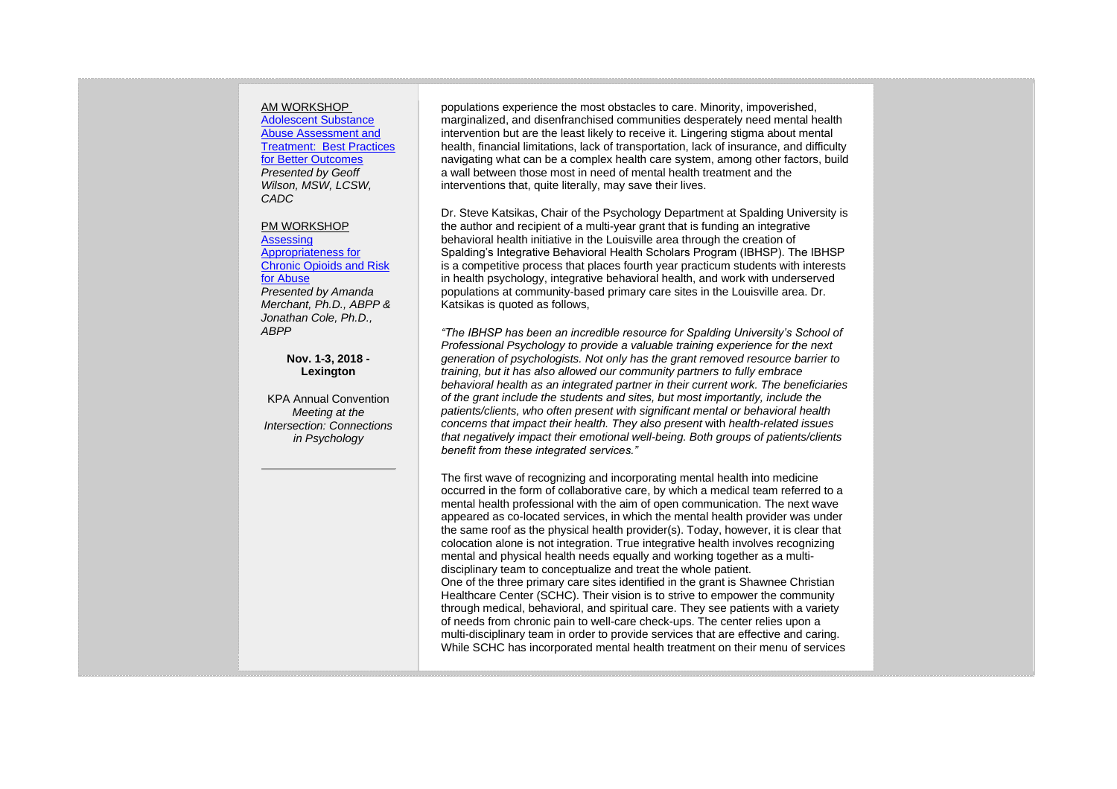#### AM WORKSHOP

[Adolescent Substance](https://kpa.memberclicks.net/index.php?option=com_jevents&task=icalevent.detail&evid=37)  [Abuse Assessment and](https://kpa.memberclicks.net/index.php?option=com_jevents&task=icalevent.detail&evid=37)  Treatment: [Best Practices](https://kpa.memberclicks.net/index.php?option=com_jevents&task=icalevent.detail&evid=37)  [for Better Outcomes](https://kpa.memberclicks.net/index.php?option=com_jevents&task=icalevent.detail&evid=37) *Presented by Geoff Wilson, MSW, LCSW, CADC*

#### PM WORKSHOP

[Assessing](https://kpa.memberclicks.net/index.php?option=com_jevents&task=icalevent.detail&evid=37)  [Appropriateness for](https://kpa.memberclicks.net/index.php?option=com_jevents&task=icalevent.detail&evid=37)  [Chronic Opioids and Risk](https://kpa.memberclicks.net/index.php?option=com_jevents&task=icalevent.detail&evid=37)  [for Abuse](https://kpa.memberclicks.net/index.php?option=com_jevents&task=icalevent.detail&evid=37)

*Presented by Amanda Merchant, Ph.D., ABPP & Jonathan Cole, Ph.D., ABPP*

> **Nov. 1-3, 2018 - Lexington**

KPA Annual Convention *Meeting at the Intersection: Connections in Psychology*

populations experience the most obstacles to care. Minority, impoverished, marginalized, and disenfranchised communities desperately need mental health intervention but are the least likely to receive it. Lingering stigma about mental health, financial limitations, lack of transportation, lack of insurance, and difficulty navigating what can be a complex health care system, among other factors, build a wall between those most in need of mental health treatment and the interventions that, quite literally, may save their lives.

Dr. Steve Katsikas, Chair of the Psychology Department at Spalding University is the author and recipient of a multi-year grant that is funding an integrative behavioral health initiative in the Louisville area through the creation of Spalding's Integrative Behavioral Health Scholars Program (IBHSP). The IBHSP is a competitive process that places fourth year practicum students with interests in health psychology, integrative behavioral health, and work with underserved populations at community-based primary care sites in the Louisville area. Dr. Katsikas is quoted as follows,

*"The IBHSP has been an incredible resource for Spalding University's School of Professional Psychology to provide a valuable training experience for the next generation of psychologists. Not only has the grant removed resource barrier to training, but it has also allowed our community partners to fully embrace behavioral health as an integrated partner in their current work. The beneficiaries of the grant include the students and sites, but most importantly, include the patients/clients, who often present with significant mental or behavioral health concerns that impact their health. They also present* with *health-related issues that negatively impact their emotional well-being. Both groups of patients/clients benefit from these integrated services."*

The first wave of recognizing and incorporating mental health into medicine occurred in the form of collaborative care, by which a medical team referred to a mental health professional with the aim of open communication. The next wave appeared as co-located services, in which the mental health provider was under the same roof as the physical health provider(s). Today, however, it is clear that colocation alone is not integration. True integrative health involves recognizing mental and physical health needs equally and working together as a multidisciplinary team to conceptualize and treat the whole patient. One of the three primary care sites identified in the grant is Shawnee Christian Healthcare Center (SCHC). Their vision is to strive to empower the community through medical, behavioral, and spiritual care. They see patients with a variety of needs from chronic pain to well-care check-ups. The center relies upon a multi-disciplinary team in order to provide services that are effective and caring. While SCHC has incorporated mental health treatment on their menu of services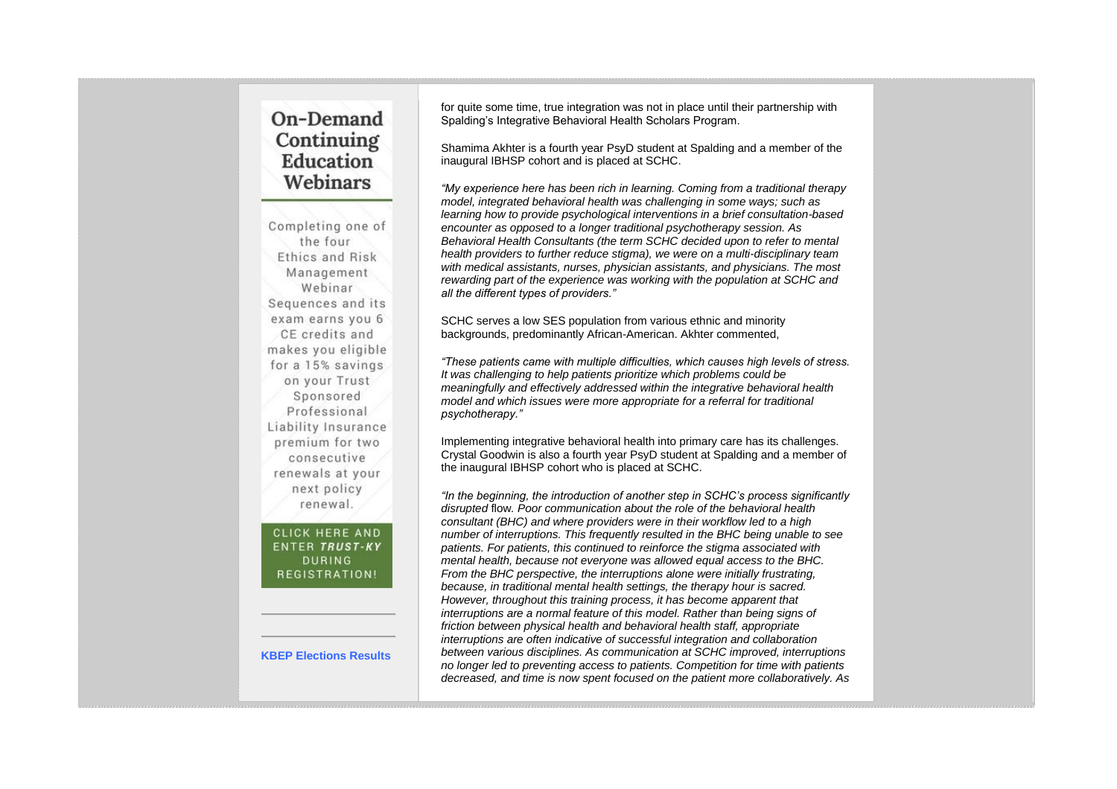# On-Demand Continuing Education Webinars

Completing one of the four Ethics and Risk Management Webinar Sequences and its exam earns you 6 CE credits and makes you eligible for a 15% savings on your Trust Sponsored Professional Liability Insurance premium for two consecutive renewals at your next policy renewal.

**CLICK HERE AND ENTER TRUST-KY DURING** REGISTRATION!

#### **KBEP Elections Results**

for quite some time, true integration was not in place until their partnership with Spalding's Integrative Behavioral Health Scholars Program.

Shamima Akhter is a fourth year PsyD student at Spalding and a member of the inaugural IBHSP cohort and is placed at SCHC.

*"My experience here has been rich in learning. Coming from a traditional therapy model, integrated behavioral health was challenging in some ways; such as learning how to provide psychological interventions in a brief consultation-based encounter as opposed to a longer traditional psychotherapy session. As Behavioral Health Consultants (the term SCHC decided upon to refer to mental health providers to further reduce stigma), we were on a multi-disciplinary team with medical assistants, nurses, physician assistants, and physicians. The most rewarding part of the experience was working with the population at SCHC and all the different types of providers."*

SCHC serves a low SES population from various ethnic and minority backgrounds, predominantly African-American. Akhter commented,

*"These patients came with multiple difficulties, which causes high levels of stress. It was challenging to help patients prioritize which problems could be meaningfully and effectively addressed within the integrative behavioral health model and which issues were more appropriate for a referral for traditional psychotherapy."*

Implementing integrative behavioral health into primary care has its challenges. Crystal Goodwin is also a fourth year PsyD student at Spalding and a member of the inaugural IBHSP cohort who is placed at SCHC.

*"In the beginning, the introduction of another step in SCHC's process significantly disrupted* flow*. Poor communication about the role of the behavioral health consultant (BHC) and where providers were in their workflow led to a high number of interruptions. This frequently resulted in the BHC being unable to see patients. For patients, this continued to reinforce the stigma associated with mental health, because not everyone was allowed equal access to the BHC. From the BHC perspective, the interruptions alone were initially frustrating, because, in traditional mental health settings, the therapy hour is sacred. However, throughout this training process, it has become apparent that interruptions are a normal feature of this model. Rather than being signs of friction between physical health and behavioral health staff, appropriate interruptions are often indicative of successful integration and collaboration between various disciplines. As communication at SCHC improved, interruptions no longer led to preventing access to patients. Competition for time with patients decreased, and time is now spent focused on the patient more collaboratively. As*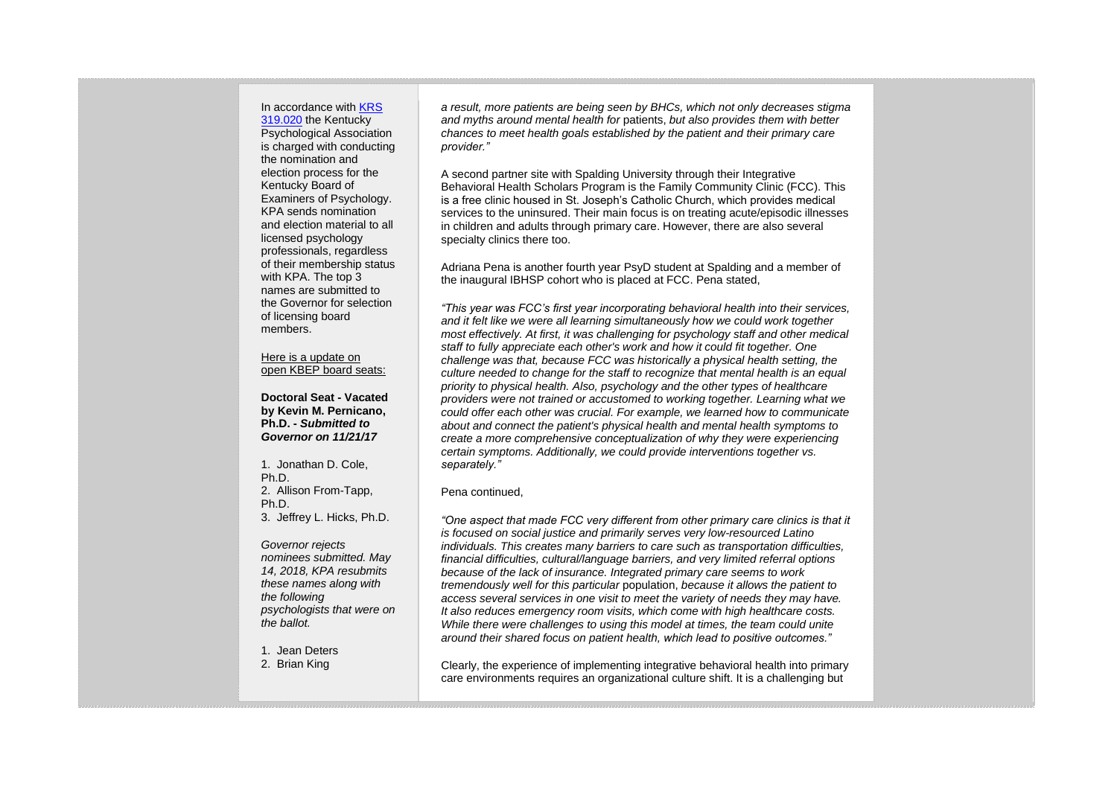In accordance with [KRS](http://www.lrc.ky.gov/Statutes/statute.aspx?id=31222)  [319.020](http://www.lrc.ky.gov/Statutes/statute.aspx?id=31222) the Kentucky

Psychological Association is charged with conducting the nomination and election process for the Kentucky Board of Examiners of Psychology. KPA sends nomination and election material to all licensed psychology professionals, regardless of their membership status with KPA. The top 3 names are submitted to the Governor for selection of licensing board members.

#### Here is a update on open KBEP board seats:

**Doctoral Seat - Vacated by Kevin M. Pernicano, Ph.D. -** *Submitted to Governor on 11/21/17*

1. Jonathan D. Cole, Ph.D. 2. Allison From-Tapp, Ph.D. 3. Jeffrey L. Hicks, Ph.D.

*Governor rejects nominees submitted. May 14, 2018, KPA resubmits these names along with the following psychologists that were on the ballot.*

1. Jean Deters 2. Brian King

*a result, more patients are being seen by BHCs, which not only decreases stigma and myths around mental health for* patients, *but also provides them with better chances to meet health goals established by the patient and their primary care provider."*

A second partner site with Spalding University through their Integrative Behavioral Health Scholars Program is the Family Community Clinic (FCC). This is a free clinic housed in St. Joseph's Catholic Church, which provides medical services to the uninsured. Their main focus is on treating acute/episodic illnesses in children and adults through primary care. However, there are also several specialty clinics there too.

Adriana Pena is another fourth year PsyD student at Spalding and a member of the inaugural IBHSP cohort who is placed at FCC. Pena stated,

*"This year was FCC's first year incorporating behavioral health into their services, and it felt like we were all learning simultaneously how we could work together most effectively. At first, it was challenging for psychology staff and other medical staff to fully appreciate each other's work and how it could fit together. One challenge was that, because FCC was historically a physical health setting, the culture needed to change for the staff to recognize that mental health is an equal priority to physical health. Also, psychology and the other types of healthcare providers were not trained or accustomed to working together. Learning what we could offer each other was crucial. For example, we learned how to communicate about and connect the patient's physical health and mental health symptoms to create a more comprehensive conceptualization of why they were experiencing certain symptoms. Additionally, we could provide interventions together vs. separately."*

#### Pena continued,

*"One aspect that made FCC very different from other primary care clinics is that it is focused on social justice and primarily serves very low-resourced Latino individuals. This creates many barriers to care such as transportation difficulties, financial difficulties, cultural/language barriers, and very limited referral options because of the lack of insurance. Integrated primary care seems to work tremendously well for this particular* population, *because it allows the patient to access several services in one visit to meet the variety of needs they may have. It also reduces emergency room visits, which come with high healthcare costs. While there were challenges to using this model at times, the team could unite around their shared focus on patient health, which lead to positive outcomes."*

Clearly, the experience of implementing integrative behavioral health into primary care environments requires an organizational culture shift. It is a challenging but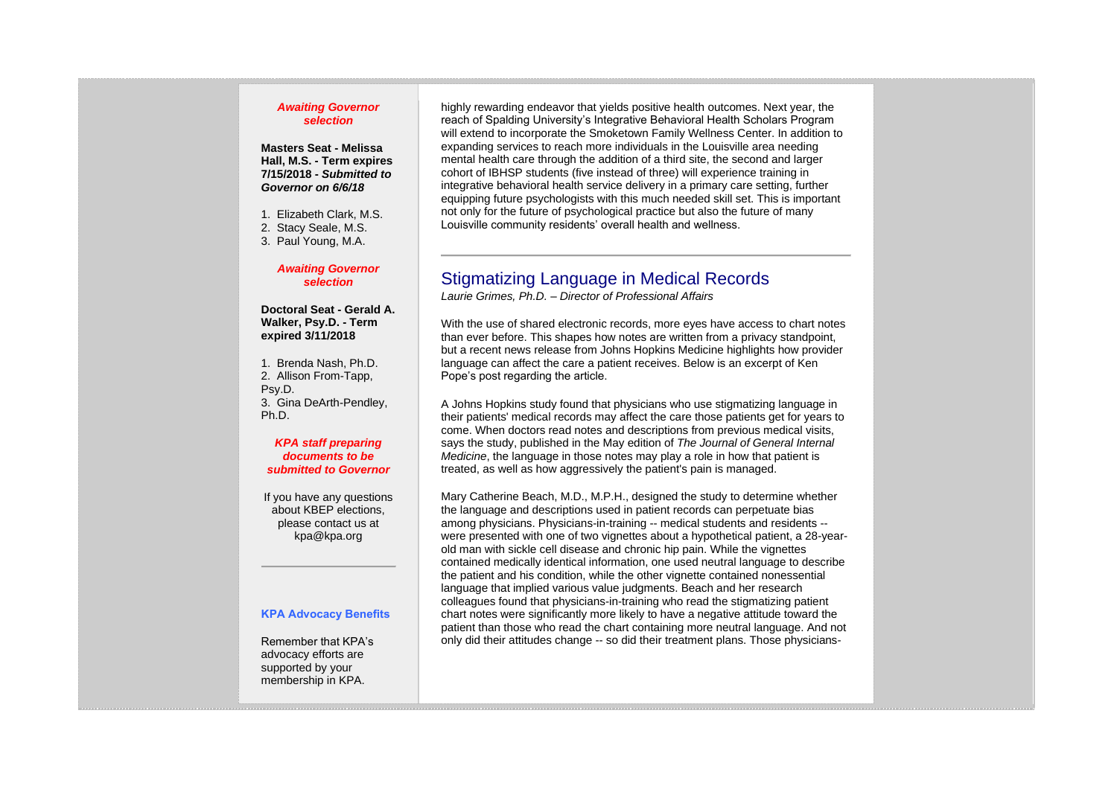#### *Awaiting Governor selection*

#### **Masters Seat - Melissa Hall, M.S. - Term expires 7/15/2018 -** *Submitted to Governor on 6/6/18*

1. Elizabeth Clark, M.S.

- 2. Stacy Seale, M.S.
- 3. Paul Young, M.A.

#### *Awaiting Governor selection*

**Doctoral Seat - Gerald A. Walker, Psy.D. - Term expired 3/11/2018**

1. Brenda Nash, Ph.D. 2. Allison From-Tapp, Psy.D. 3. Gina DeArth-Pendley, Ph.D.

#### *KPA staff preparing documents to be submitted to Governor*

If you have any questions about KBEP elections, please contact us at kpa@kpa.org

#### **KPA Advocacy Benefits**

Remember that KPA's advocacy efforts are supported by your membership in KPA.

highly rewarding endeavor that yields positive health outcomes. Next year, the reach of Spalding University's Integrative Behavioral Health Scholars Program will extend to incorporate the Smoketown Family Wellness Center. In addition to expanding services to reach more individuals in the Louisville area needing mental health care through the addition of a third site, the second and larger cohort of IBHSP students (five instead of three) will experience training in integrative behavioral health service delivery in a primary care setting, further equipping future psychologists with this much needed skill set. This is important not only for the future of psychological practice but also the future of many Louisville community residents' overall health and wellness.

## Stigmatizing Language in Medical Records

*Laurie Grimes, Ph.D. – Director of Professional Affairs*

With the use of shared electronic records, more eyes have access to chart notes than ever before. This shapes how notes are written from a privacy standpoint, but a recent news release from Johns Hopkins Medicine highlights how provider language can affect the care a patient receives. Below is an excerpt of Ken Pope's post regarding the article.

A Johns Hopkins study found that physicians who use stigmatizing language in their patients' medical records may affect the care those patients get for years to come. When doctors read notes and descriptions from previous medical visits, says the study, published in the May edition of *The Journal of General Internal Medicine*, the language in those notes may play a role in how that patient is treated, as well as how aggressively the patient's pain is managed.

Mary Catherine Beach, M.D., M.P.H., designed the study to determine whether the language and descriptions used in patient records can perpetuate bias among physicians. Physicians-in-training -- medical students and residents - were presented with one of two vignettes about a hypothetical patient, a 28-yearold man with sickle cell disease and chronic hip pain. While the vignettes contained medically identical information, one used neutral language to describe the patient and his condition, while the other vignette contained nonessential language that implied various value judgments. Beach and her research colleagues found that physicians-in-training who read the stigmatizing patient chart notes were significantly more likely to have a negative attitude toward the patient than those who read the chart containing more neutral language. And not only did their attitudes change -- so did their treatment plans. Those physicians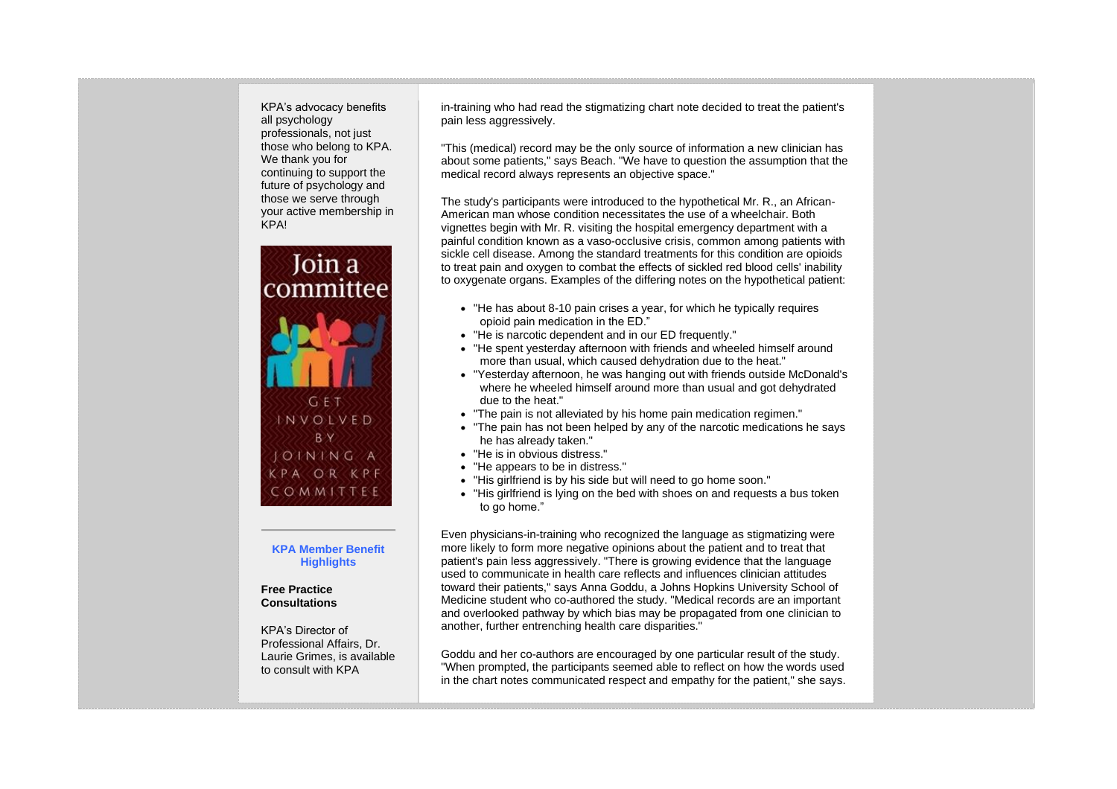KPA's advocacy benefits all psychology professionals, not just those who belong to KPA. We thank you for continuing to support the future of psychology and those we serve through your active membership in KPA!



#### **KPA Member Benefit Highlights**

#### **Free Practice Consultations**

KPA's Director of Professional Affairs, Dr. Laurie Grimes, is available to consult with KPA

in-training who had read the stigmatizing chart note decided to treat the patient's pain less aggressively.

"This (medical) record may be the only source of information a new clinician has about some patients," says Beach. "We have to question the assumption that the medical record always represents an objective space."

The study's participants were introduced to the hypothetical Mr. R., an African-American man whose condition necessitates the use of a wheelchair. Both vignettes begin with Mr. R. visiting the hospital emergency department with a painful condition known as a vaso-occlusive crisis, common among patients with sickle cell disease. Among the standard treatments for this condition are opioids to treat pain and oxygen to combat the effects of sickled red blood cells' inability to oxygenate organs. Examples of the differing notes on the hypothetical patient:

- "He has about 8-10 pain crises a year, for which he typically requires opioid pain medication in the ED."
- "He is narcotic dependent and in our ED frequently."
- "He spent yesterday afternoon with friends and wheeled himself around more than usual, which caused dehydration due to the heat."
- "Yesterday afternoon, he was hanging out with friends outside McDonald's where he wheeled himself around more than usual and got dehydrated due to the heat."
- "The pain is not alleviated by his home pain medication regimen."
- "The pain has not been helped by any of the narcotic medications he says he has already taken."
- "He is in obvious distress."
- "He appears to be in distress."
- "His girlfriend is by his side but will need to go home soon."
- "His girlfriend is lying on the bed with shoes on and requests a bus token to go home."

Even physicians-in-training who recognized the language as stigmatizing were more likely to form more negative opinions about the patient and to treat that patient's pain less aggressively. "There is growing evidence that the language used to communicate in health care reflects and influences clinician attitudes toward their patients," says Anna Goddu, a Johns Hopkins University School of Medicine student who co-authored the study. "Medical records are an important and overlooked pathway by which bias may be propagated from one clinician to another, further entrenching health care disparities."

Goddu and her co-authors are encouraged by one particular result of the study. "When prompted, the participants seemed able to reflect on how the words used in the chart notes communicated respect and empathy for the patient," she says.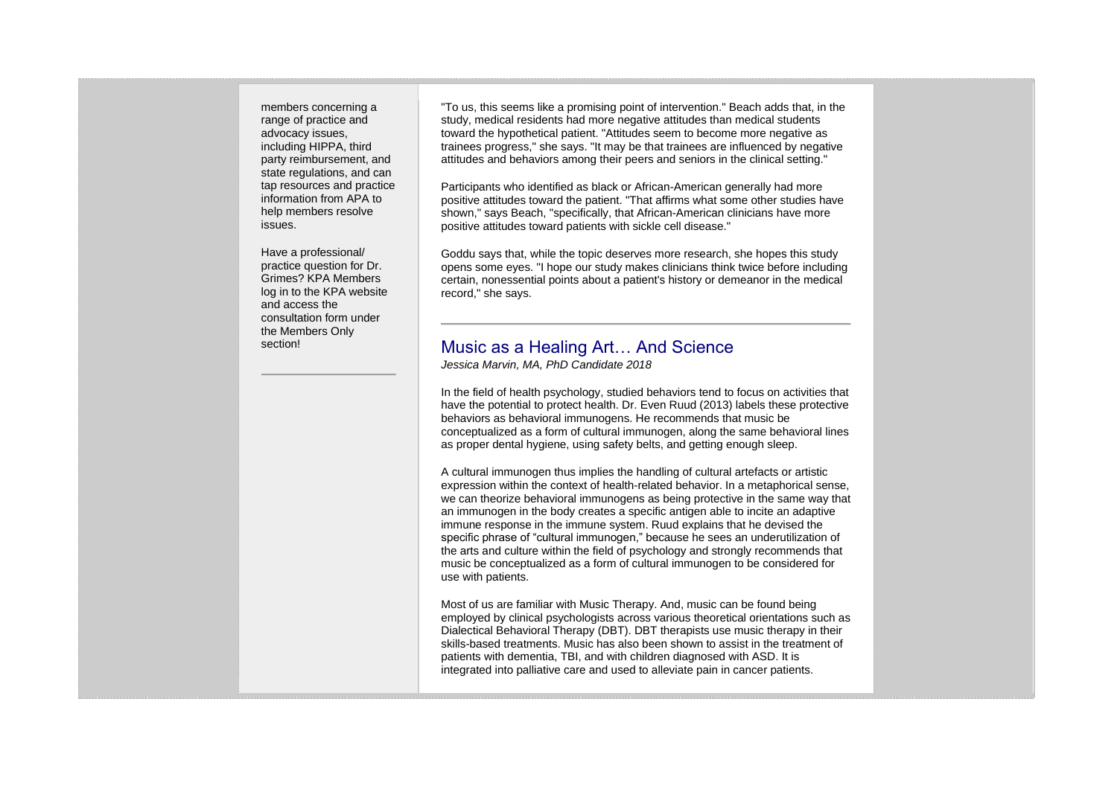members concerning a range of practice and advocacy issues, including HIPPA, third party reimbursement, and state regulations, and can tap resources and practice information from APA to help members resolve issues.

Have a professional/ practice question for Dr. Grimes? KPA Members log in to the KPA website and access the consultation form under the Members Only section!

"To us, this seems like a promising point of intervention." Beach adds that, in the study, medical residents had more negative attitudes than medical students toward the hypothetical patient. "Attitudes seem to become more negative as trainees progress," she says. "It may be that trainees are influenced by negative attitudes and behaviors among their peers and seniors in the clinical setting."

Participants who identified as black or African-American generally had more positive attitudes toward the patient. "That affirms what some other studies have shown," says Beach, "specifically, that African-American clinicians have more positive attitudes toward patients with sickle cell disease."

Goddu says that, while the topic deserves more research, she hopes this study opens some eyes. "I hope our study makes clinicians think twice before including certain, nonessential points about a patient's history or demeanor in the medical record," she says.

# Music as a Healing Art… And Science

*Jessica Marvin, MA, PhD Candidate 2018*

In the field of health psychology, studied behaviors tend to focus on activities that have the potential to protect health. Dr. Even Ruud (2013) labels these protective behaviors as behavioral immunogens. He recommends that music be conceptualized as a form of cultural immunogen, along the same behavioral lines as proper dental hygiene, using safety belts, and getting enough sleep.

A cultural immunogen thus implies the handling of cultural artefacts or artistic expression within the context of health-related behavior. In a metaphorical sense, we can theorize behavioral immunogens as being protective in the same way that an immunogen in the body creates a specific antigen able to incite an adaptive immune response in the immune system. Ruud explains that he devised the specific phrase of "cultural immunogen," because he sees an underutilization of the arts and culture within the field of psychology and strongly recommends that music be conceptualized as a form of cultural immunogen to be considered for use with patients.

Most of us are familiar with Music Therapy. And, music can be found being employed by clinical psychologists across various theoretical orientations such as Dialectical Behavioral Therapy (DBT). DBT therapists use music therapy in their skills-based treatments. Music has also been shown to assist in the treatment of patients with dementia, TBI, and with children diagnosed with ASD. It is integrated into palliative care and used to alleviate pain in cancer patients.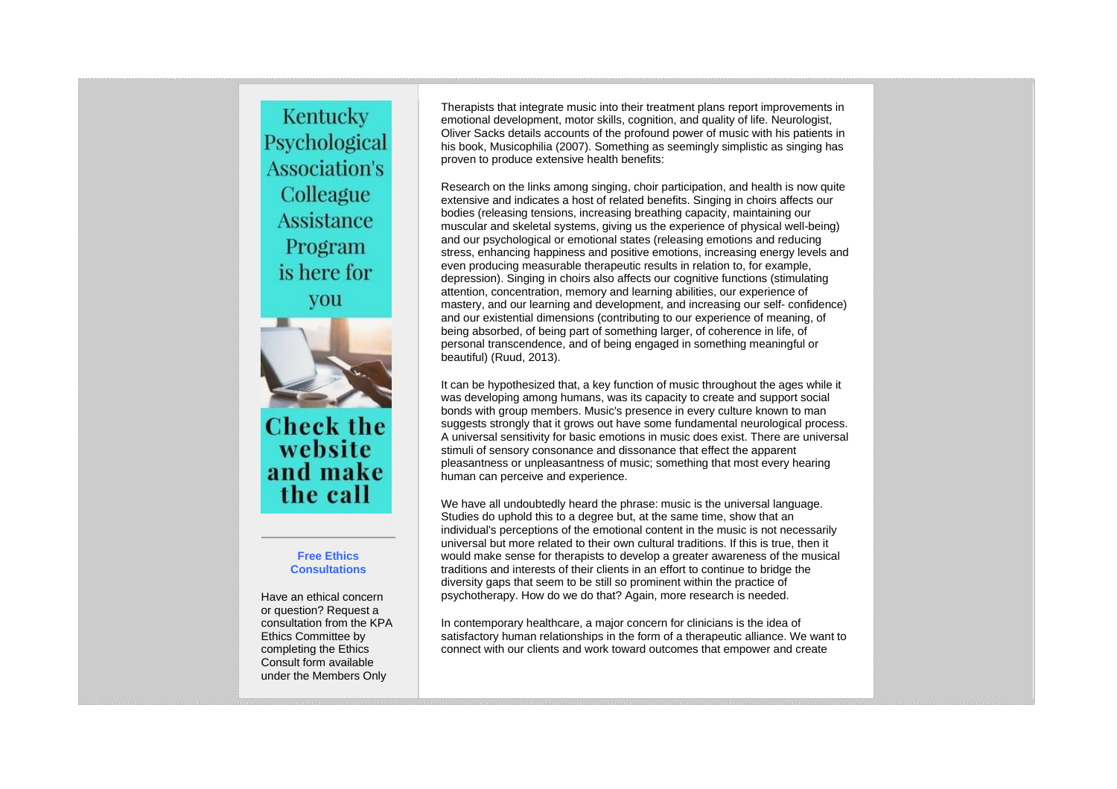Kentucky Psychological **Association's** Colleague **Assistance** Program is here for you



**Check the** website and make the call

#### **Free Ethics Consultations**

Have an ethical concern or question? Request a consultation from the KPA Ethics Committee by completing the Ethics Consult form available under the Members Only

Therapists that integrate music into their treatment plans report improvements in emotional development, motor skills, cognition, and quality of life. Neurologist, Oliver Sacks details accounts of the profound power of music with his patients in his book, Musicophilia (2007). Something as seemingly simplistic as singing has proven to produce extensive health benefits:

Research on the links among singing, choir participation, and health is now quite extensive and indicates a host of related benefits. Singing in choirs affects our bodies (releasing tensions, increasing breathing capacity, maintaining our muscular and skeletal systems, giving us the experience of physical well-being) and our psychological or emotional states (releasing emotions and reducing stress, enhancing happiness and positive emotions, increasing energy levels and even producing measurable therapeutic results in relation to, for example, depression). Singing in choirs also affects our cognitive functions (stimulating attention, concentration, memory and learning abilities, our experience of mastery, and our learning and development, and increasing our self- confidence) and our existential dimensions (contributing to our experience of meaning, of being absorbed, of being part of something larger, of coherence in life, of personal transcendence, and of being engaged in something meaningful or beautiful) (Ruud, 2013).

It can be hypothesized that, a key function of music throughout the ages while it was developing among humans, was its capacity to create and support social bonds with group members. Music's presence in every culture known to man suggests strongly that it grows out have some fundamental neurological process. A universal sensitivity for basic emotions in music does exist. There are universal stimuli of sensory consonance and dissonance that effect the apparent pleasantness or unpleasantness of music; something that most every hearing human can perceive and experience.

We have all undoubtedly heard the phrase: music is the universal language. Studies do uphold this to a degree but, at the same time, show that an individual's perceptions of the emotional content in the music is not necessarily universal but more related to their own cultural traditions. If this is true, then it would make sense for therapists to develop a greater awareness of the musical traditions and interests of their clients in an effort to continue to bridge the diversity gaps that seem to be still so prominent within the practice of psychotherapy. How do we do that? Again, more research is needed.

In contemporary healthcare, a major concern for clinicians is the idea of satisfactory human relationships in the form of a therapeutic alliance. We want to connect with our clients and work toward outcomes that empower and create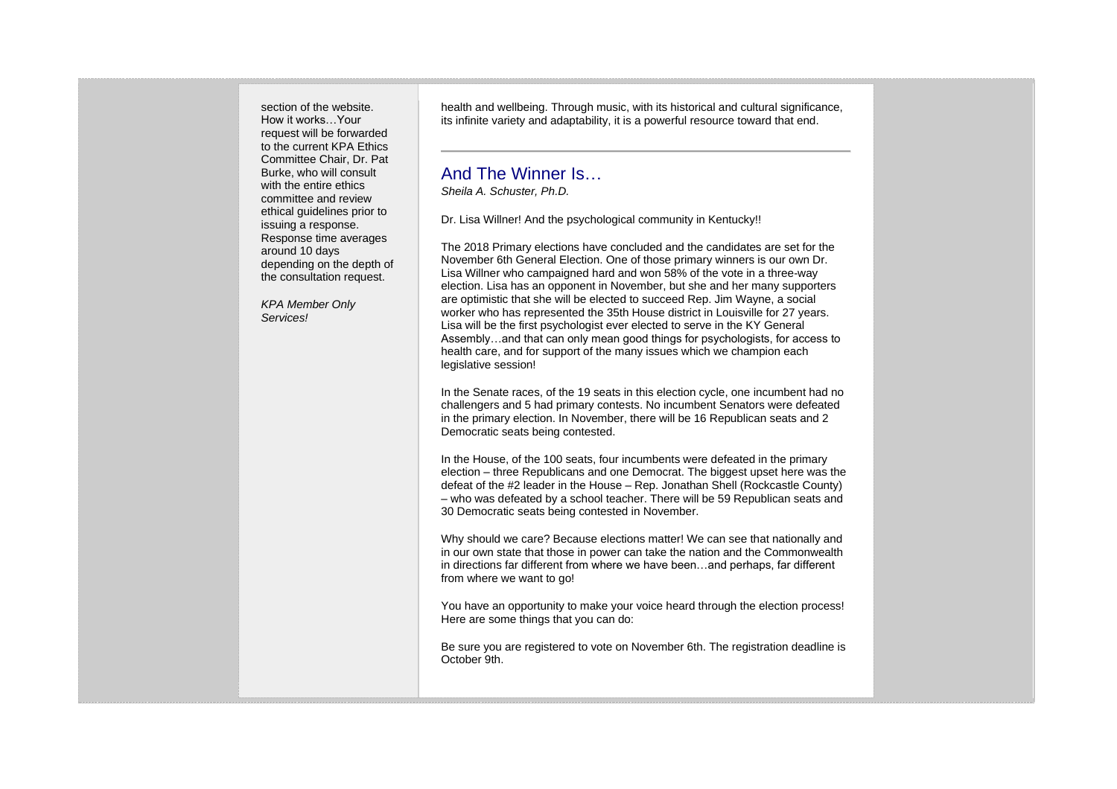section of the website. How it works…Your request will be forwarded to the current KPA Ethics Committee Chair, Dr. Pat Burke, who will consult with the entire ethics committee and review ethical guidelines prior to issuing a response. Response time averages around 10 days depending on the depth of the consultation request.

*KPA Member Only Services!*

health and wellbeing. Through music, with its historical and cultural significance, its infinite variety and adaptability, it is a powerful resource toward that end.

## And The Winner Is…

*Sheila A. Schuster, Ph.D.*

Dr. Lisa Willner! And the psychological community in Kentucky!!

The 2018 Primary elections have concluded and the candidates are set for the November 6th General Election. One of those primary winners is our own Dr. Lisa Willner who campaigned hard and won 58% of the vote in a three-way election. Lisa has an opponent in November, but she and her many supporters are optimistic that she will be elected to succeed Rep. Jim Wayne, a social worker who has represented the 35th House district in Louisville for 27 years. Lisa will be the first psychologist ever elected to serve in the KY General Assembly…and that can only mean good things for psychologists, for access to health care, and for support of the many issues which we champion each legislative session!

In the Senate races, of the 19 seats in this election cycle, one incumbent had no challengers and 5 had primary contests. No incumbent Senators were defeated in the primary election. In November, there will be 16 Republican seats and 2 Democratic seats being contested.

In the House, of the 100 seats, four incumbents were defeated in the primary election – three Republicans and one Democrat. The biggest upset here was the defeat of the #2 leader in the House – Rep. Jonathan Shell (Rockcastle County) – who was defeated by a school teacher. There will be 59 Republican seats and 30 Democratic seats being contested in November.

Why should we care? Because elections matter! We can see that nationally and in our own state that those in power can take the nation and the Commonwealth in directions far different from where we have been…and perhaps, far different from where we want to go!

You have an opportunity to make your voice heard through the election process! Here are some things that you can do:

Be sure you are registered to vote on November 6th. The registration deadline is October 9th.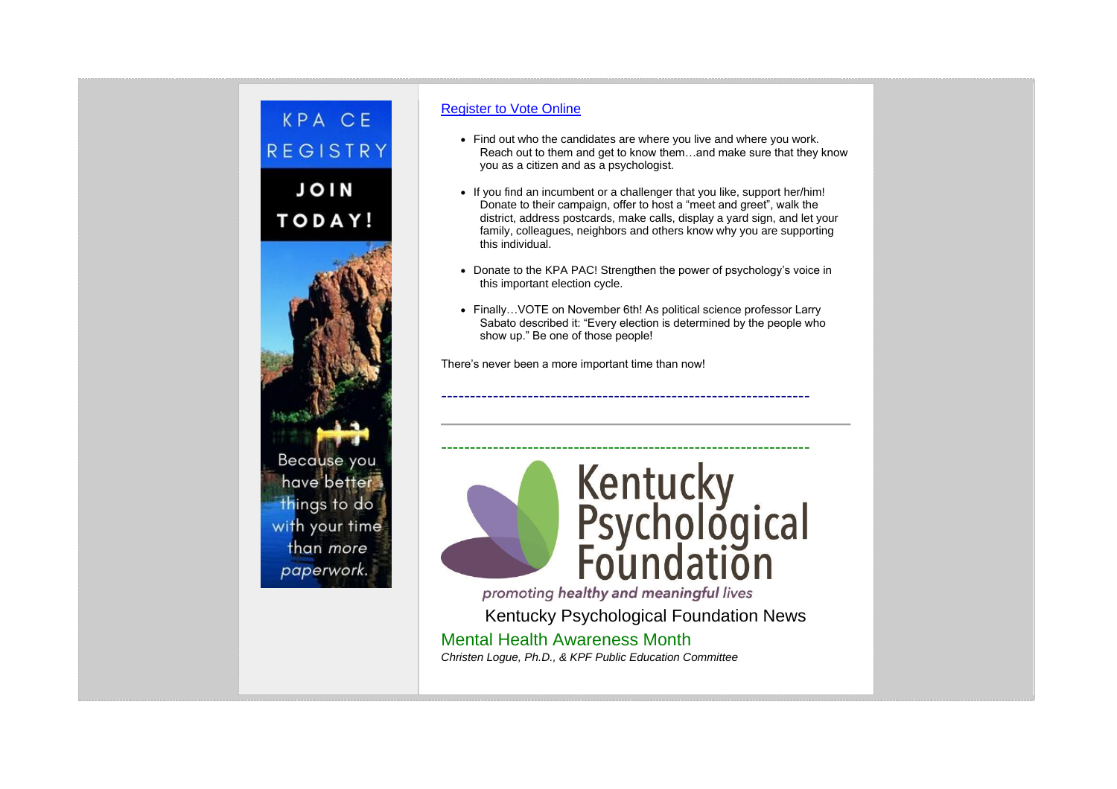

#### [Register to Vote Online](https://vrsws.sos.ky.gov/ovrweb/)

- Find out who the candidates are where you live and where you work. Reach out to them and get to know them…and make sure that they know you as a citizen and as a psychologist.
- If you find an incumbent or a challenger that you like, support her/him! Donate to their campaign, offer to host a "meet and greet", walk the district, address postcards, make calls, display a yard sign, and let your family, colleagues, neighbors and others know why you are supporting this individual.
- Donate to the KPA PAC! Strengthen the power of psychology's voice in this important election cycle.
- Finally... VOTE on November 6th! As political science professor Larry Sabato described it: "Every election is determined by the people who show up." Be one of those people!

----------------------------------------------------------------

There's never been a more important time than now!



promoting healthy and meaningful lives

Kentucky Psychological Foundation News Mental Health Awareness Month *Christen Logue, Ph.D., & KPF Public Education Committee*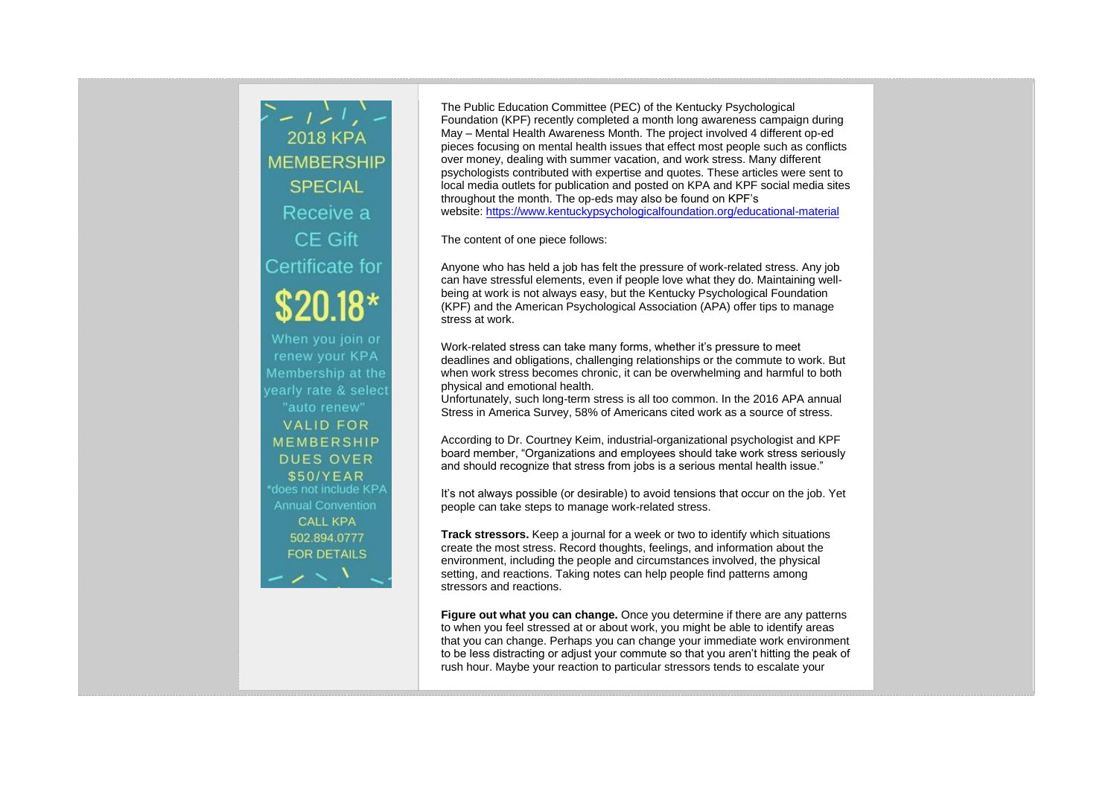$\sum_{i=1}^{n} \frac{1}{i} \sum_{i=1}^{n} \frac{1}{i} \sum_{i=1}^{n}$ **2018 KPA MEMBERSHIP SPECIAL** Receive a CE Gift Certificate for  $$20.18*$ When you join or renew your KPA Membership at the yearly rate & select "auto renew" **VALID FOR MEMBERSHIP DUES OVER** \$50/YEAR \*does not include KPA **Annual Convention CALL KPA** 502.894.0777 **FOR DETAILS** 

The Public Education Committee (PEC) of the Kentucky Psychological Foundation (KPF) recently completed a month long awareness campaign during May – Mental Health Awareness Month. The project involved 4 different op-ed pieces focusing on mental health issues that effect most people such as conflicts over money, dealing with summer vacation, and work stress. Many different psychologists contributed with expertise and quotes. These articles were sent to local media outlets for publication and posted on KPA and KPF social media sites throughout the month. The op-eds may also be found on KPF's website: <https://www.kentuckypsychologicalfoundation.org/educational-material>

The content of one piece follows:

Anyone who has held a job has felt the pressure of work-related stress. Any job can have stressful elements, even if people love what they do. Maintaining wellbeing at work is not always easy, but the Kentucky Psychological Foundation (KPF) and the American Psychological Association (APA) offer tips to manage stress at work.

Work-related stress can take many forms, whether it's pressure to meet deadlines and obligations, challenging relationships or the commute to work. But when work stress becomes chronic, it can be overwhelming and harmful to both physical and emotional health.

Unfortunately, such long-term stress is all too common. In the 2016 APA annual Stress in America Survey, 58% of Americans cited work as a source of stress.

According to Dr. Courtney Keim, industrial-organizational psychologist and KPF board member, "Organizations and employees should take work stress seriously and should recognize that stress from jobs is a serious mental health issue."

It's not always possible (or desirable) to avoid tensions that occur on the job. Yet people can take steps to manage work-related stress.

**Track stressors.** Keep a journal for a week or two to identify which situations create the most stress. Record thoughts, feelings, and information about the environment, including the people and circumstances involved, the physical setting, and reactions. Taking notes can help people find patterns among stressors and reactions.

**Figure out what you can change.** Once you determine if there are any patterns to when you feel stressed at or about work, you might be able to identify areas that you can change. Perhaps you can change your immediate work environment to be less distracting or adjust your commute so that you aren't hitting the peak of rush hour. Maybe your reaction to particular stressors tends to escalate your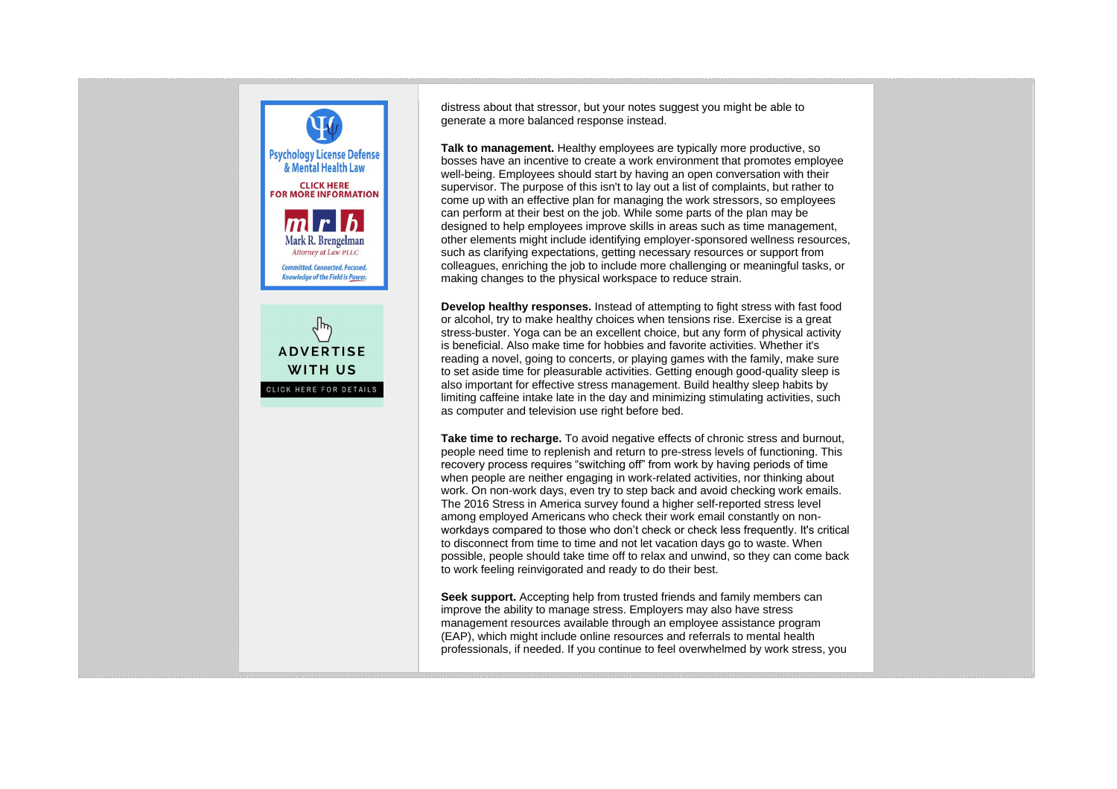

distress about that stressor, but your notes suggest you might be able to generate a more balanced response instead.

**Talk to management.** Healthy employees are typically more productive, so bosses have an incentive to create a work environment that promotes employee well-being. Employees should start by having an open conversation with their supervisor. The purpose of this isn't to lay out a list of complaints, but rather to come up with an effective plan for managing the work stressors, so employees can perform at their best on the job. While some parts of the plan may be designed to help employees improve skills in areas such as time management, other elements might include identifying employer-sponsored wellness resources, such as clarifying expectations, getting necessary resources or support from colleagues, enriching the job to include more challenging or meaningful tasks, or making changes to the physical workspace to reduce strain.

**Develop healthy responses.** Instead of attempting to fight stress with fast food or alcohol, try to make healthy choices when tensions rise. Exercise is a great stress-buster. Yoga can be an excellent choice, but any form of physical activity is beneficial. Also make time for hobbies and favorite activities. Whether it's reading a novel, going to concerts, or playing games with the family, make sure to set aside time for pleasurable activities. Getting enough good-quality sleep is also important for effective stress management. Build healthy sleep habits by limiting caffeine intake late in the day and minimizing stimulating activities, such as computer and television use right before bed.

**Take time to recharge.** To avoid negative effects of chronic stress and burnout, people need time to replenish and return to pre-stress levels of functioning. This recovery process requires "switching off" from work by having periods of time when people are neither engaging in work-related activities, nor thinking about work. On non-work days, even try to step back and avoid checking work emails. The 2016 Stress in America survey found a higher self-reported stress level among employed Americans who check their work email constantly on nonworkdays compared to those who don't check or check less frequently. It's critical to disconnect from time to time and not let vacation days go to waste. When possible, people should take time off to relax and unwind, so they can come back to work feeling reinvigorated and ready to do their best.

**Seek support.** Accepting help from trusted friends and family members can improve the ability to manage stress. Employers may also have stress management resources available through an employee assistance program (EAP), which might include online resources and referrals to mental health professionals, if needed. If you continue to feel overwhelmed by work stress, you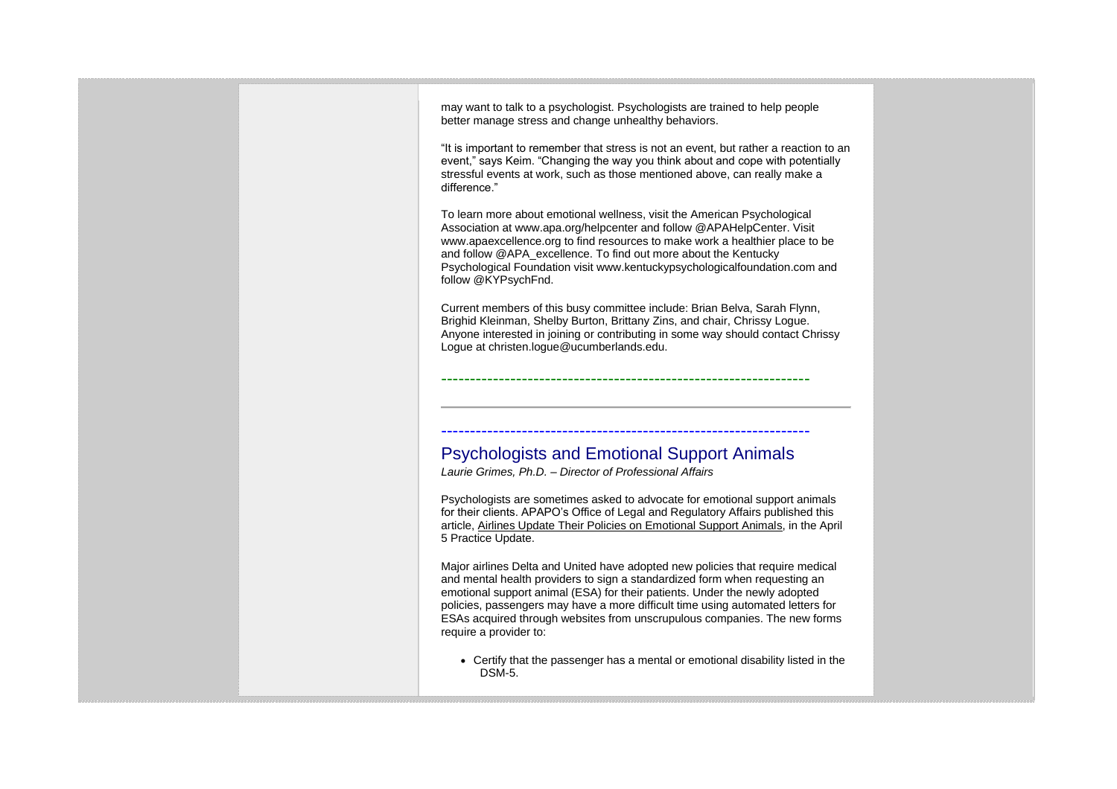may want to talk to a psychologist. Psychologists are trained to help people better manage stress and change unhealthy behaviors. "It is important to remember that stress is not an event, but rather a reaction to an event," says Keim. "Changing the way you think about and cope with potentially stressful events at work, such as those mentioned above, can really make a difference." To learn more about emotional wellness, visit the American Psychological Association at www.apa.org/helpcenter and follow @APAHelpCenter. Visit www.apaexcellence.org to find resources to make work a healthier place to be and follow @APA\_excellence. To find out more about the Kentucky Psychological Foundation visit www.kentuckypsychologicalfoundation.com and follow @KYPsychFnd. Current members of this busy committee include: Brian Belva, Sarah Flynn, Brighid Kleinman, Shelby Burton, Brittany Zins, and chair, Chrissy Logue. Anyone interested in joining or contributing in some way should contact Chrissy Logue at christen.logue@ucumberlands.edu. ---------------------------------------------------------------- ---------------------------------------------------------------- Psychologists and Emotional Support Animals *Laurie Grimes, Ph.D. – Director of Professional Affairs* Psychologists are sometimes asked to advocate for emotional support animals for their clients. APAPO's Office of Legal and Regulatory Affairs published this article, Airlines Update Their Policies on Emotional Support Animals, in the April 5 Practice Update. Major airlines Delta and United have adopted new policies that require medical and mental health providers to sign a standardized form when requesting an emotional support animal (ESA) for their patients. Under the newly adopted policies, passengers may have a more difficult time using automated letters for ESAs acquired through websites from unscrupulous companies. The new forms require a provider to: • Certify that the passenger has a mental or emotional disability listed in the DSM-5.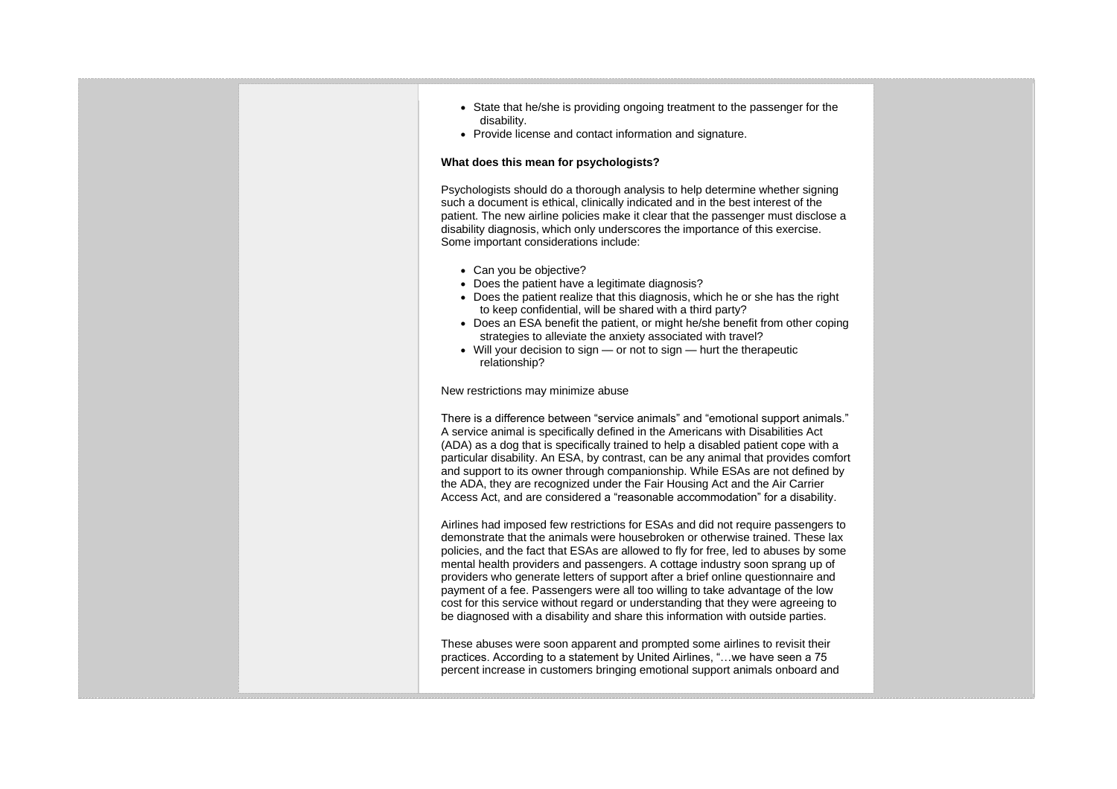- State that he/she is providing ongoing treatment to the passenger for the disability.
- Provide license and contact information and signature.

#### **What does this mean for psychologists?**

Psychologists should do a thorough analysis to help determine whether signing such a document is ethical, clinically indicated and in the best interest of the patient. The new airline policies make it clear that the passenger must disclose a disability diagnosis, which only underscores the importance of this exercise. Some important considerations include:

- Can you be objective?
- Does the patient have a legitimate diagnosis?
- Does the patient realize that this diagnosis, which he or she has the right to keep confidential, will be shared with a third party?
- Does an ESA benefit the patient, or might he/she benefit from other coping strategies to alleviate the anxiety associated with travel?
- Will your decision to sign or not to sign hurt the therapeutic relationship?

New restrictions may minimize abuse

There is a difference between "service animals" and "emotional support animals." A service animal is specifically defined in the Americans with Disabilities Act (ADA) as a dog that is specifically trained to help a disabled patient cope with a particular disability. An ESA, by contrast, can be any animal that provides comfort and support to its owner through companionship. While ESAs are not defined by the ADA, they are recognized under the Fair Housing Act and the Air Carrier Access Act, and are considered a "reasonable accommodation" for a disability.

Airlines had imposed few restrictions for ESAs and did not require passengers to demonstrate that the animals were housebroken or otherwise trained. These lax policies, and the fact that ESAs are allowed to fly for free, led to abuses by some mental health providers and passengers. A cottage industry soon sprang up of providers who generate letters of support after a brief online questionnaire and payment of a fee. Passengers were all too willing to take advantage of the low cost for this service without regard or understanding that they were agreeing to be diagnosed with a disability and share this information with outside parties.

These abuses were soon apparent and prompted some airlines to revisit their practices. According to a statement by United Airlines, "…we have seen a 75 percent increase in customers bringing emotional support animals onboard and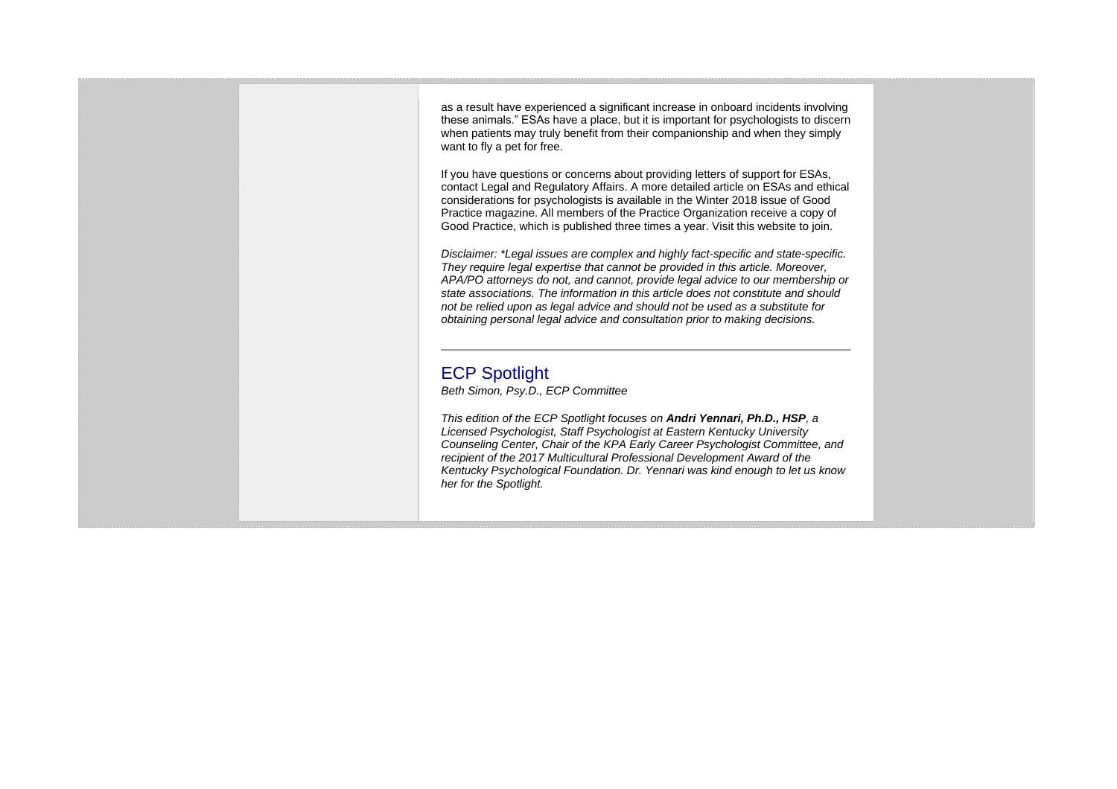as a result have experienced a significant increase in onboard incidents involving these animals." ESAs have a place, but it is important for psychologists to discern when patients may truly benefit from their companionship and when they simply want to fly a pet for free.

If you have questions or concerns about providing letters of support for ESAs, contact Legal and Regulatory Affairs. A more detailed article on ESAs and ethical considerations for psychologists is available in the Winter 2018 issue of Good Practice magazine. All members of the Practice Organization receive a copy of Good Practice, which is published three times a year. Visit this website to join.

*Disclaimer: \*Legal issues are complex and highly fact-specific and state-specific. They require legal expertise that cannot be provided in this article. Moreover, APA/PO attorneys do not, and cannot, provide legal advice to our membership or state associations. The information in this article does not constitute and should not be relied upon as legal advice and should not be used as a substitute for obtaining personal legal advice and consultation prior to making decisions.*

# ECP Spotlight

*Beth Simon, Psy.D., ECP Committee*

*This edition of the ECP Spotlight focuses on Andri Yennari, Ph.D., HSP, a Licensed Psychologist, Staff Psychologist at Eastern Kentucky University Counseling Center, Chair of the KPA Early Career Psychologist Committee, and recipient of the 2017 Multicultural Professional Development Award of the Kentucky Psychological Foundation. Dr. Yennari was kind enough to let us know her for the Spotlight.*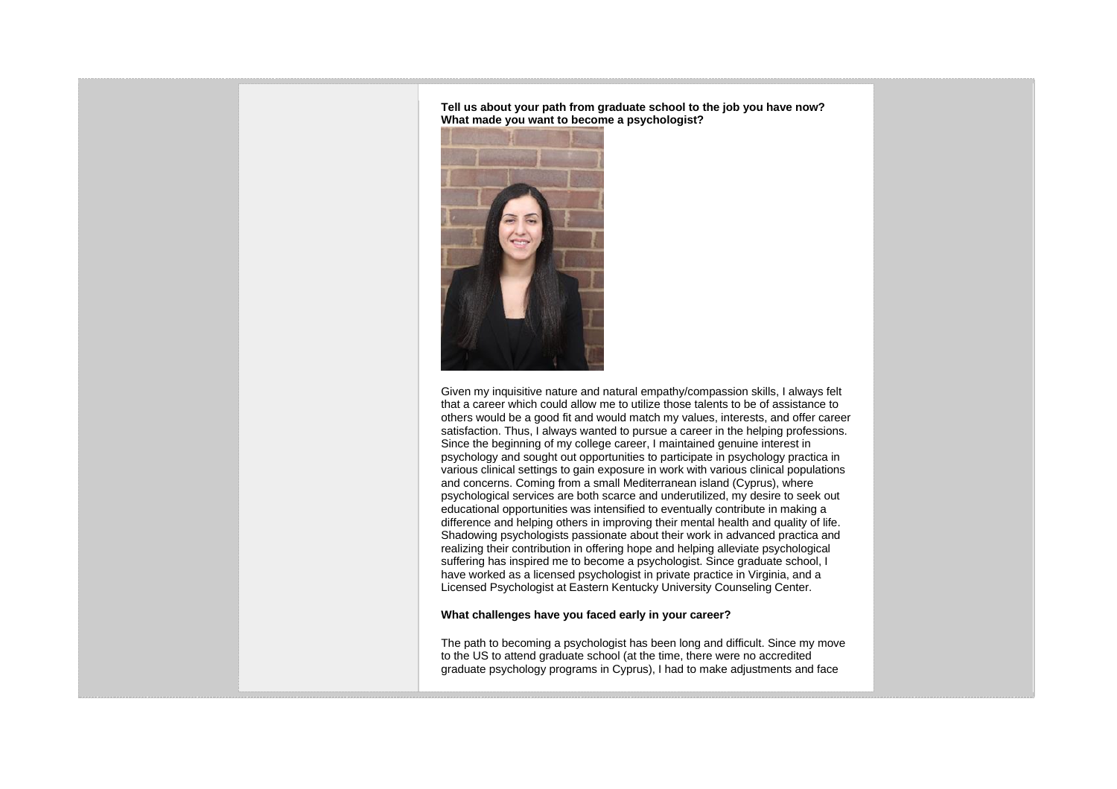**Tell us about your path from graduate school to the job you have now? What made you want to become a psychologist?**



Given my inquisitive nature and natural empathy/compassion skills, I always felt that a career which could allow me to utilize those talents to be of assistance to others would be a good fit and would match my values, interests, and offer career satisfaction. Thus, I always wanted to pursue a career in the helping professions. Since the beginning of my college career, I maintained genuine interest in psychology and sought out opportunities to participate in psychology practica in various clinical settings to gain exposure in work with various clinical populations and concerns. Coming from a small Mediterranean island (Cyprus), where psychological services are both scarce and underutilized, my desire to seek out educational opportunities was intensified to eventually contribute in making a difference and helping others in improving their mental health and quality of life. Shadowing psychologists passionate about their work in advanced practica and realizing their contribution in offering hope and helping alleviate psychological suffering has inspired me to become a psychologist. Since graduate school, I have worked as a licensed psychologist in private practice in Virginia, and a Licensed Psychologist at Eastern Kentucky University Counseling Center.

#### **What challenges have you faced early in your career?**

The path to becoming a psychologist has been long and difficult. Since my move to the US to attend graduate school (at the time, there were no accredited graduate psychology programs in Cyprus), I had to make adjustments and face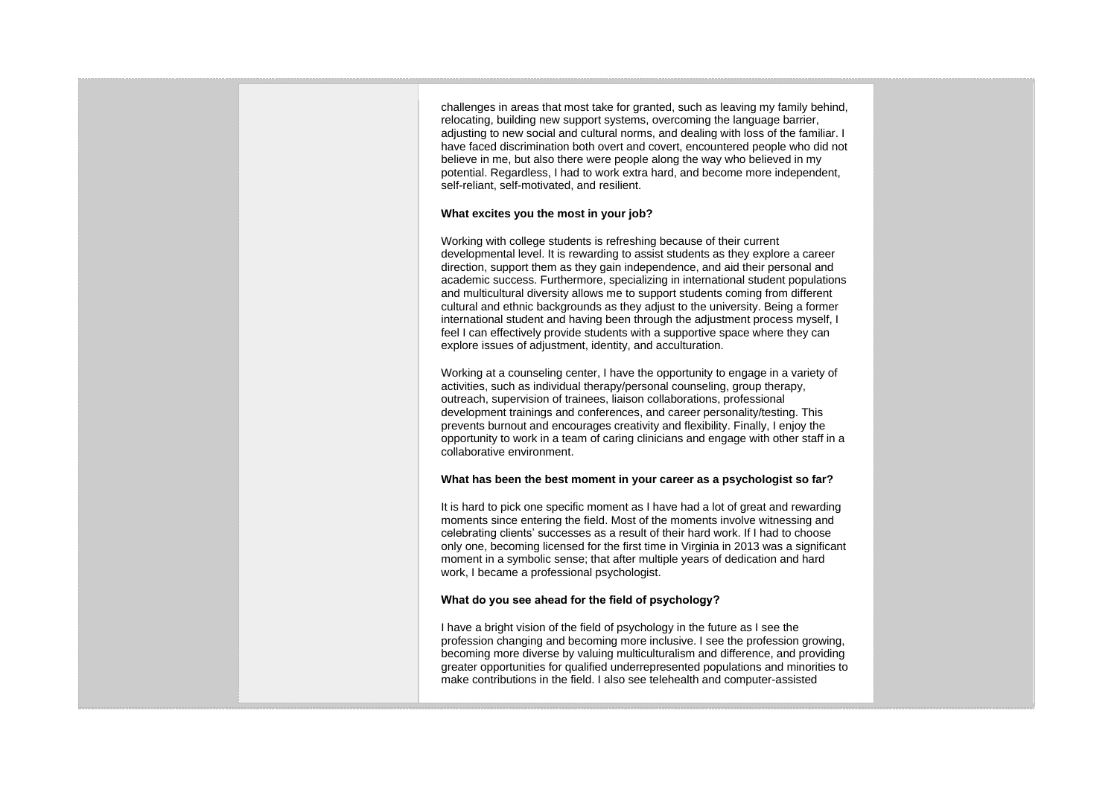challenges in areas that most take for granted, such as leaving my family behind, relocating, building new support systems, overcoming the language barrier, adjusting to new social and cultural norms, and dealing with loss of the familiar. I have faced discrimination both overt and covert, encountered people who did not believe in me, but also there were people along the way who believed in my potential. Regardless, I had to work extra hard, and become more independent, self-reliant, self-motivated, and resilient.

#### **What excites you the most in your job?**

Working with college students is refreshing because of their current developmental level. It is rewarding to assist students as they explore a career direction, support them as they gain independence, and aid their personal and academic success. Furthermore, specializing in international student populations and multicultural diversity allows me to support students coming from different cultural and ethnic backgrounds as they adjust to the university. Being a former international student and having been through the adjustment process myself, I feel I can effectively provide students with a supportive space where they can explore issues of adjustment, identity, and acculturation.

Working at a counseling center, I have the opportunity to engage in a variety of activities, such as individual therapy/personal counseling, group therapy, outreach, supervision of trainees, liaison collaborations, professional development trainings and conferences, and career personality/testing. This prevents burnout and encourages creativity and flexibility. Finally, I enjoy the opportunity to work in a team of caring clinicians and engage with other staff in a collaborative environment.

#### **What has been the best moment in your career as a psychologist so far?**

It is hard to pick one specific moment as I have had a lot of great and rewarding moments since entering the field. Most of the moments involve witnessing and celebrating clients' successes as a result of their hard work. If I had to choose only one, becoming licensed for the first time in Virginia in 2013 was a significant moment in a symbolic sense; that after multiple years of dedication and hard work, I became a professional psychologist.

#### **What do you see ahead for the field of psychology?**

I have a bright vision of the field of psychology in the future as I see the profession changing and becoming more inclusive. I see the profession growing, becoming more diverse by valuing multiculturalism and difference, and providing greater opportunities for qualified underrepresented populations and minorities to make contributions in the field. I also see telehealth and computer-assisted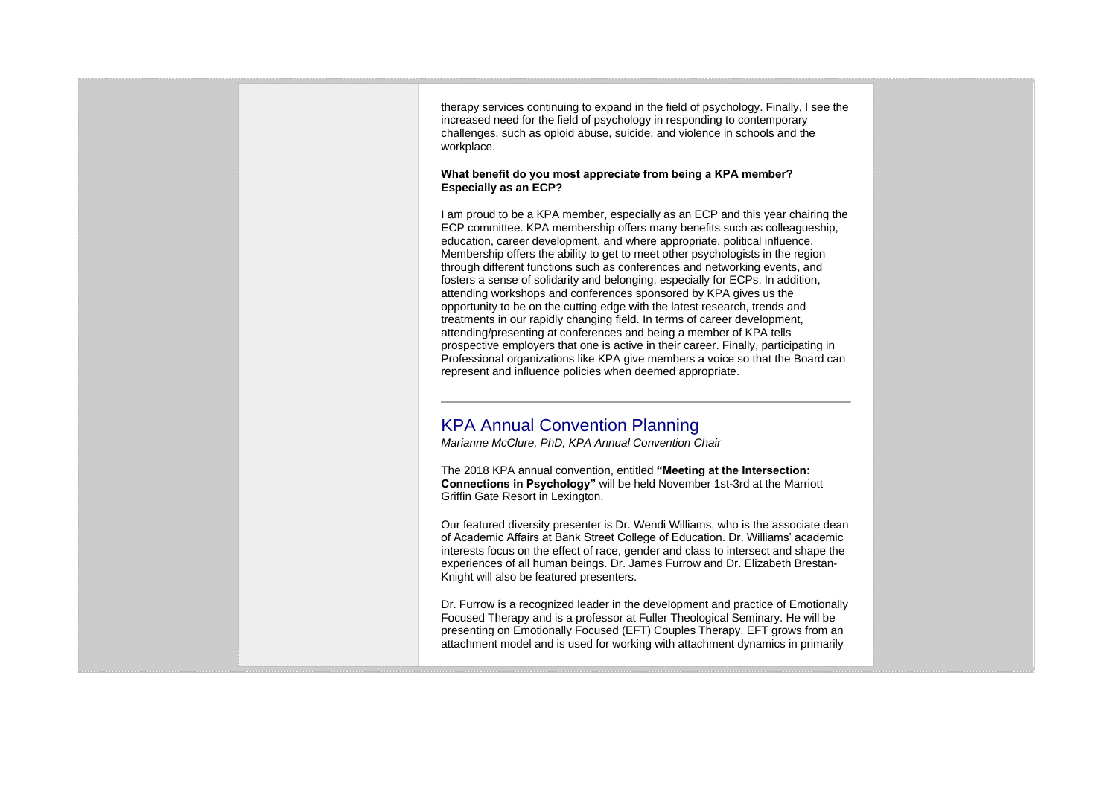therapy services continuing to expand in the field of psychology. Finally, I see the increased need for the field of psychology in responding to contemporary challenges, such as opioid abuse, suicide, and violence in schools and the workplace.

#### **What benefit do you most appreciate from being a KPA member? Especially as an ECP?**

I am proud to be a KPA member, especially as an ECP and this year chairing the ECP committee. KPA membership offers many benefits such as colleagueship, education, career development, and where appropriate, political influence. Membership offers the ability to get to meet other psychologists in the region through different functions such as conferences and networking events, and fosters a sense of solidarity and belonging, especially for ECPs. In addition, attending workshops and conferences sponsored by KPA gives us the opportunity to be on the cutting edge with the latest research, trends and treatments in our rapidly changing field. In terms of career development, attending/presenting at conferences and being a member of KPA tells prospective employers that one is active in their career. Finally, participating in Professional organizations like KPA give members a voice so that the Board can represent and influence policies when deemed appropriate.

# KPA Annual Convention Planning

*Marianne McClure, PhD, KPA Annual Convention Chair*

The 2018 KPA annual convention, entitled **"Meeting at the Intersection: Connections in Psychology"** will be held November 1st-3rd at the Marriott Griffin Gate Resort in Lexington.

Our featured diversity presenter is Dr. Wendi Williams, who is the associate dean of Academic Affairs at Bank Street College of Education. Dr. Williams' academic interests focus on the effect of race, gender and class to intersect and shape the experiences of all human beings. Dr. James Furrow and Dr. Elizabeth Brestan-Knight will also be featured presenters.

Dr. Furrow is a recognized leader in the development and practice of Emotionally Focused Therapy and is a professor at Fuller Theological Seminary. He will be presenting on Emotionally Focused (EFT) Couples Therapy. EFT grows from an attachment model and is used for working with attachment dynamics in primarily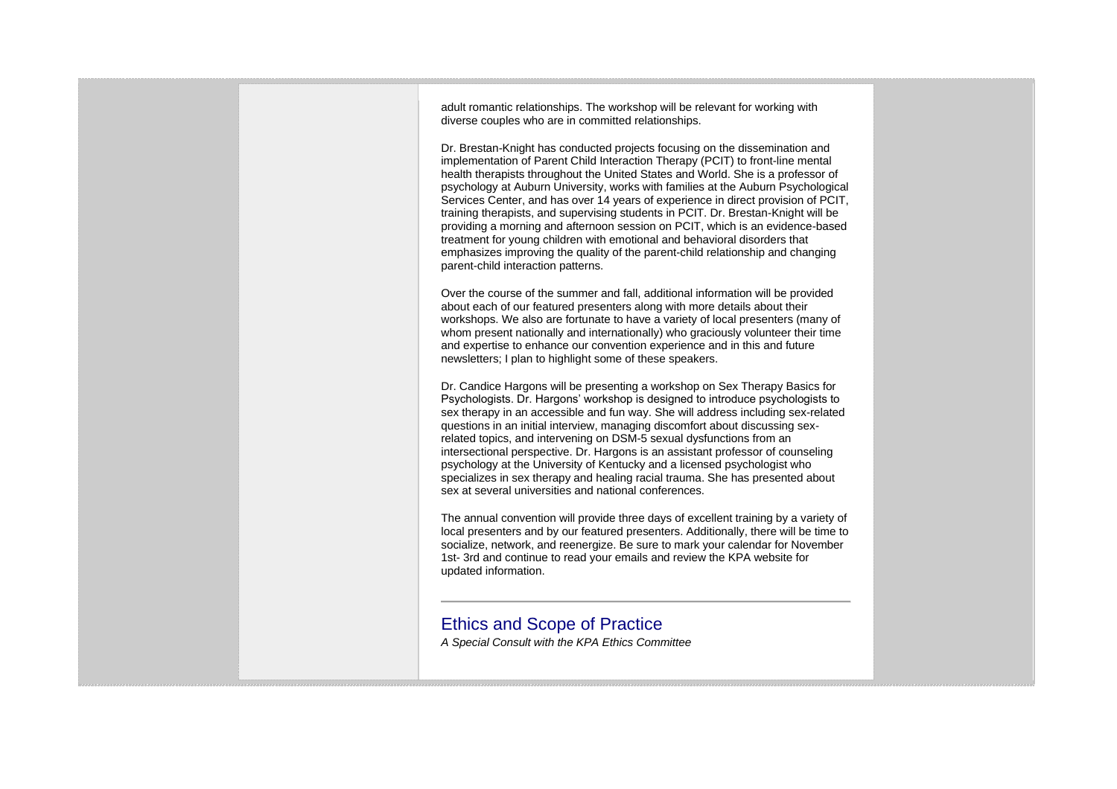adult romantic relationships. The workshop will be relevant for working with diverse couples who are in committed relationships.

Dr. Brestan-Knight has conducted projects focusing on the dissemination and implementation of Parent Child Interaction Therapy (PCIT) to front-line mental health therapists throughout the United States and World. She is a professor of psychology at Auburn University, works with families at the Auburn Psychological Services Center, and has over 14 years of experience in direct provision of PCIT, training therapists, and supervising students in PCIT. Dr. Brestan-Knight will be providing a morning and afternoon session on PCIT, which is an evidence-based treatment for young children with emotional and behavioral disorders that emphasizes improving the quality of the parent-child relationship and changing parent-child interaction patterns.

Over the course of the summer and fall, additional information will be provided about each of our featured presenters along with more details about their workshops. We also are fortunate to have a variety of local presenters (many of whom present nationally and internationally) who graciously volunteer their time and expertise to enhance our convention experience and in this and future newsletters; I plan to highlight some of these speakers.

Dr. Candice Hargons will be presenting a workshop on Sex Therapy Basics for Psychologists. Dr. Hargons' workshop is designed to introduce psychologists to sex therapy in an accessible and fun way. She will address including sex-related questions in an initial interview, managing discomfort about discussing sexrelated topics, and intervening on DSM-5 sexual dysfunctions from an intersectional perspective. Dr. Hargons is an assistant professor of counseling psychology at the University of Kentucky and a licensed psychologist who specializes in sex therapy and healing racial trauma. She has presented about sex at several universities and national conferences.

The annual convention will provide three days of excellent training by a variety of local presenters and by our featured presenters. Additionally, there will be time to socialize, network, and reenergize. Be sure to mark your calendar for November 1st- 3rd and continue to read your emails and review the KPA website for updated information.

### Ethics and Scope of Practice

*A Special Consult with the KPA Ethics Committee*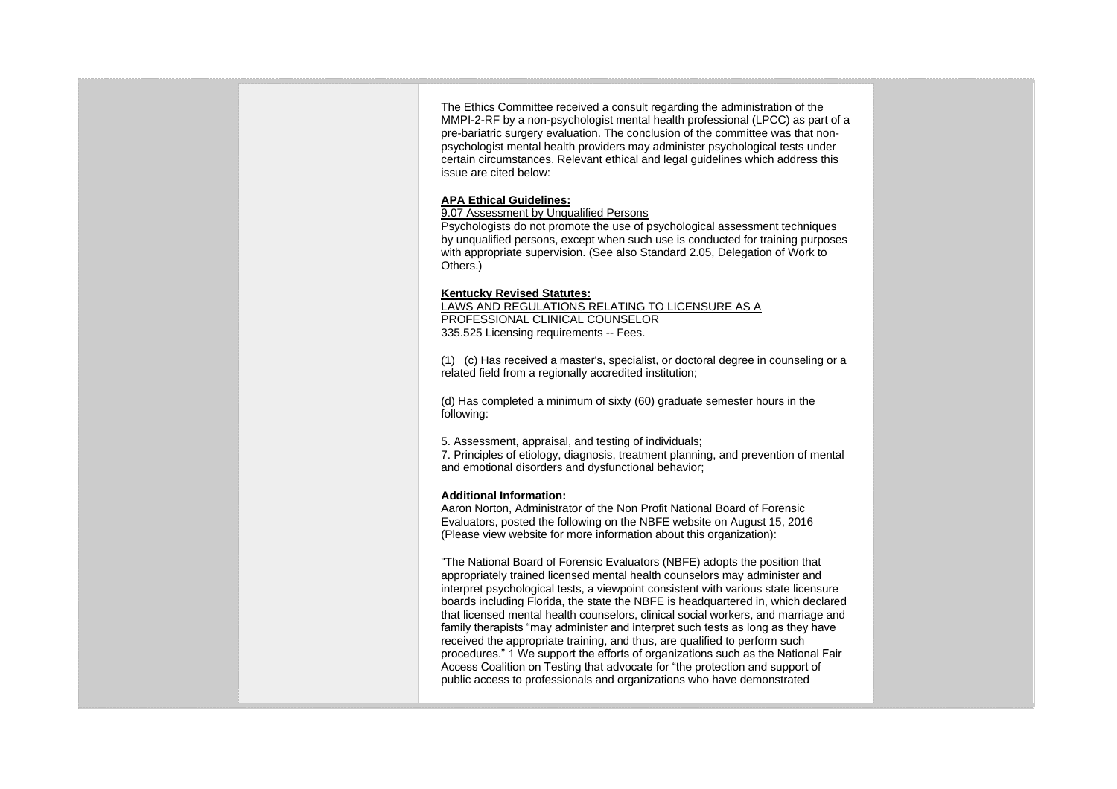The Ethics Committee received a consult regarding the administration of the MMPI-2-RF by a non-psychologist mental health professional (LPCC) as part of a pre-bariatric surgery evaluation. The conclusion of the committee was that nonpsychologist mental health providers may administer psychological tests under certain circumstances. Relevant ethical and legal guidelines which address this issue are cited below:

#### **APA Ethical Guidelines:**

#### 9.07 Assessment by Unqualified Persons

Psychologists do not promote the use of psychological assessment techniques by unqualified persons, except when such use is conducted for training purposes with appropriate supervision. (See also Standard 2.05, Delegation of Work to Others.)

#### **Kentucky Revised Statutes:**

LAWS AND REGULATIONS RELATING TO LICENSURE AS A PROFESSIONAL CLINICAL COUNSELOR 335.525 Licensing requirements -- Fees.

(1) (c) Has received a master's, specialist, or doctoral degree in counseling or a related field from a regionally accredited institution;

(d) Has completed a minimum of sixty (60) graduate semester hours in the following:

5. Assessment, appraisal, and testing of individuals;

7. Principles of etiology, diagnosis, treatment planning, and prevention of mental and emotional disorders and dysfunctional behavior;

#### **Additional Information:**

Aaron Norton, Administrator of the Non Profit National Board of Forensic Evaluators, posted the following on the NBFE website on August 15, 2016 (Please view website for more information about this organization):

"The National Board of Forensic Evaluators (NBFE) adopts the position that appropriately trained licensed mental health counselors may administer and interpret psychological tests, a viewpoint consistent with various state licensure boards including Florida, the state the NBFE is headquartered in, which declared that licensed mental health counselors, clinical social workers, and marriage and family therapists "may administer and interpret such tests as long as they have received the appropriate training, and thus, are qualified to perform such procedures." 1 We support the efforts of organizations such as the National Fair Access Coalition on Testing that advocate for "the protection and support of public access to professionals and organizations who have demonstrated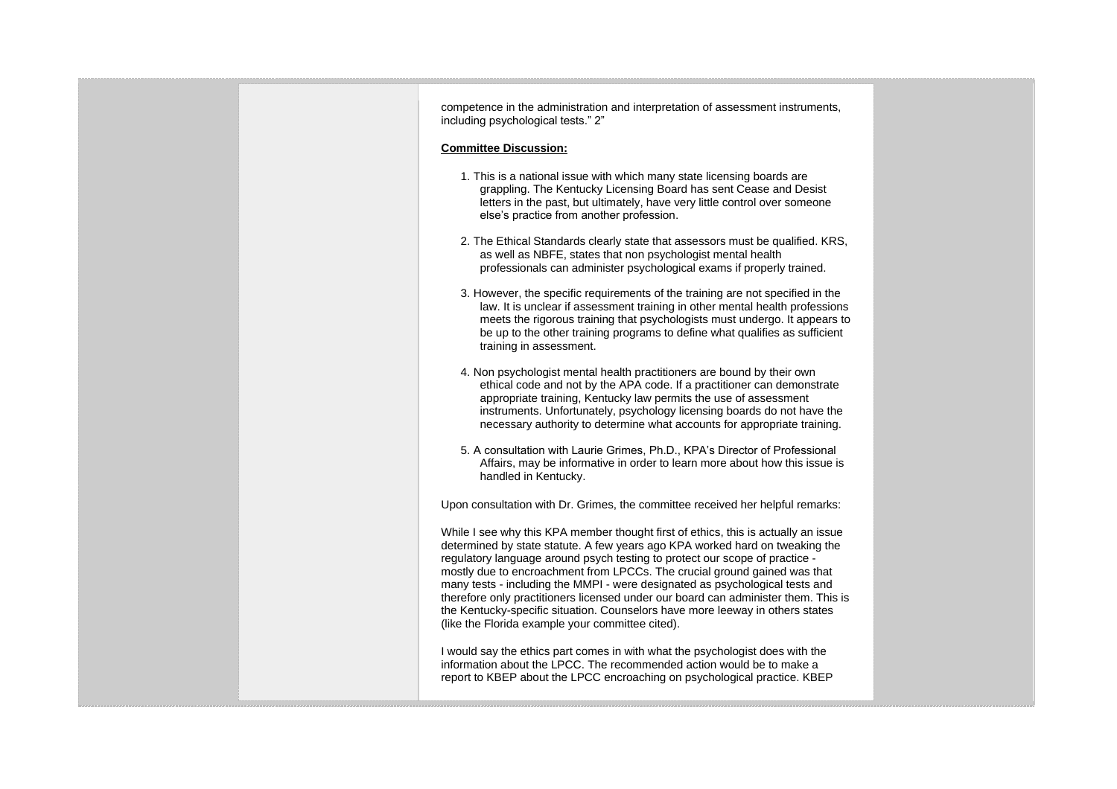competence in the administration and interpretation of assessment instruments, including psychological tests." 2" **Committee Discussion:** 1. This is a national issue with which many state licensing boards are grappling. The Kentucky Licensing Board has sent Cease and Desist letters in the past, but ultimately, have very little control over someone else's practice from another profession. 2. The Ethical Standards clearly state that assessors must be qualified. KRS, as well as NBFE, states that non psychologist mental health professionals can administer psychological exams if properly trained. 3. However, the specific requirements of the training are not specified in the law. It is unclear if assessment training in other mental health professions meets the rigorous training that psychologists must undergo. It appears to be up to the other training programs to define what qualifies as sufficient training in assessment. 4. Non psychologist mental health practitioners are bound by their own ethical code and not by the APA code. If a practitioner can demonstrate appropriate training, Kentucky law permits the use of assessment instruments. Unfortunately, psychology licensing boards do not have the necessary authority to determine what accounts for appropriate training. 5. A consultation with Laurie Grimes, Ph.D., KPA's Director of Professional Affairs, may be informative in order to learn more about how this issue is handled in Kentucky. Upon consultation with Dr. Grimes, the committee received her helpful remarks: While I see why this KPA member thought first of ethics, this is actually an issue determined by state statute. A few years ago KPA worked hard on tweaking the regulatory language around psych testing to protect our scope of practice mostly due to encroachment from LPCCs. The crucial ground gained was that many tests - including the MMPI - were designated as psychological tests and therefore only practitioners licensed under our board can administer them. This is the Kentucky-specific situation. Counselors have more leeway in others states (like the Florida example your committee cited). I would say the ethics part comes in with what the psychologist does with the information about the LPCC. The recommended action would be to make a report to KBEP about the LPCC encroaching on psychological practice. KBEP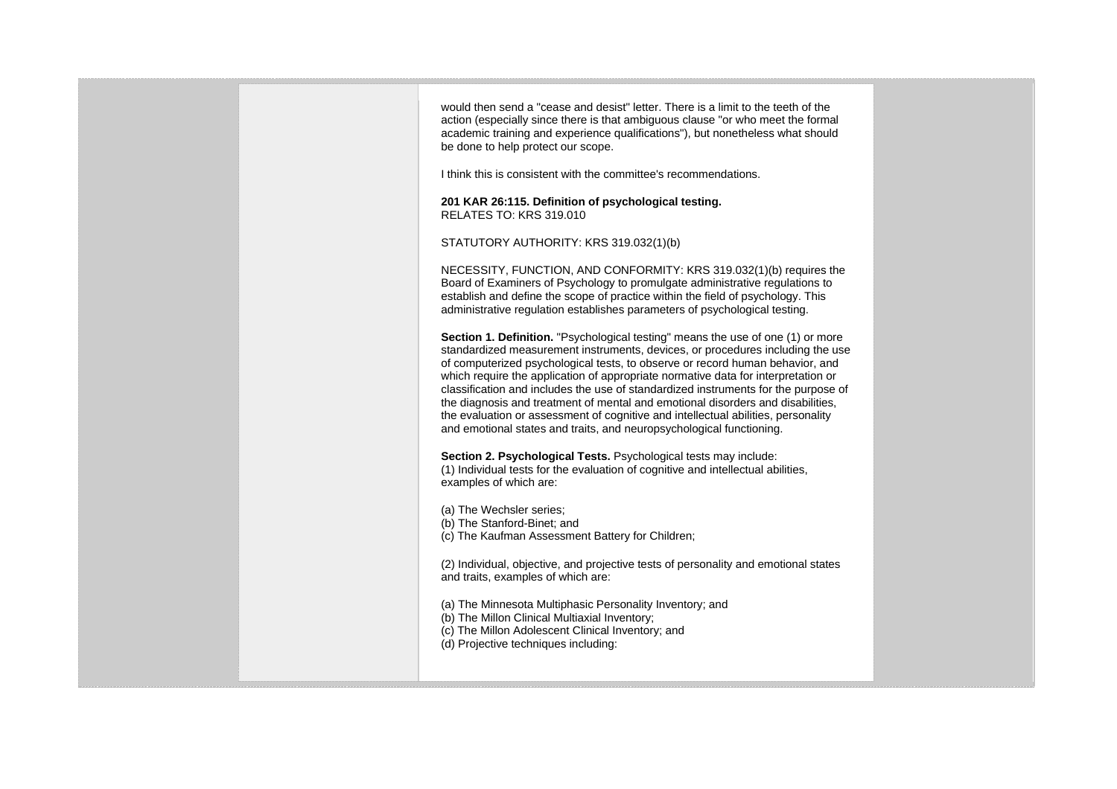would then send a "cease and desist" letter. There is a limit to the teeth of the action (especially since there is that ambiguous clause "or who meet the formal academic training and experience qualifications"), but nonetheless what should be done to help protect our scope.

I think this is consistent with the committee's recommendations.

**201 KAR 26:115. Definition of psychological testing.** RELATES TO: KRS 319.010

STATUTORY AUTHORITY: KRS 319.032(1)(b)

NECESSITY, FUNCTION, AND CONFORMITY: KRS 319.032(1)(b) requires the Board of Examiners of Psychology to promulgate administrative regulations to establish and define the scope of practice within the field of psychology. This administrative regulation establishes parameters of psychological testing.

**Section 1. Definition.** "Psychological testing" means the use of one (1) or more standardized measurement instruments, devices, or procedures including the use of computerized psychological tests, to observe or record human behavior, and which require the application of appropriate normative data for interpretation or classification and includes the use of standardized instruments for the purpose of the diagnosis and treatment of mental and emotional disorders and disabilities, the evaluation or assessment of cognitive and intellectual abilities, personality and emotional states and traits, and neuropsychological functioning.

**Section 2. Psychological Tests.** Psychological tests may include: (1) Individual tests for the evaluation of cognitive and intellectual abilities, examples of which are:

(a) The Wechsler series; (b) The Stanford-Binet; and (c) The Kaufman Assessment Battery for Children;

(2) Individual, objective, and projective tests of personality and emotional states and traits, examples of which are:

(a) The Minnesota Multiphasic Personality Inventory; and (b) The Millon Clinical Multiaxial Inventory; (c) The Millon Adolescent Clinical Inventory; and (d) Projective techniques including: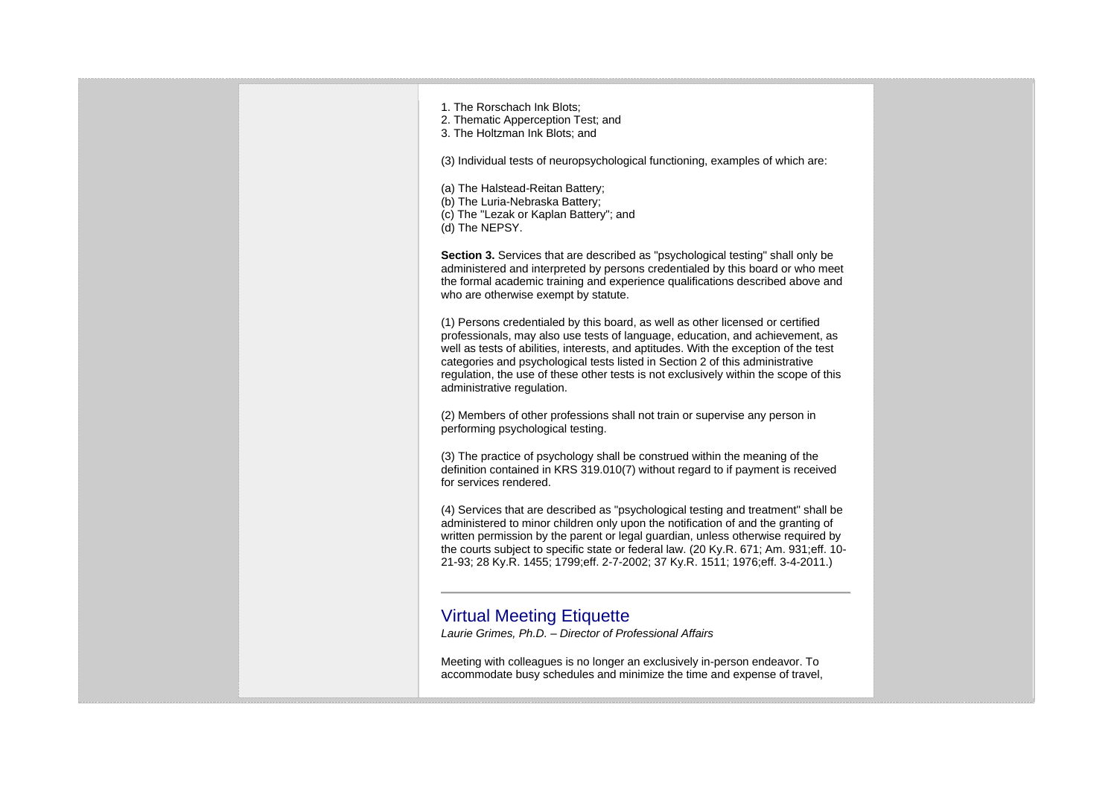| 1. The Rorschach Ink Blots:<br>2. Thematic Apperception Test; and<br>3. The Holtzman Ink Blots; and                                                                                                                                                                                                                                                                                                                                                            |  |
|----------------------------------------------------------------------------------------------------------------------------------------------------------------------------------------------------------------------------------------------------------------------------------------------------------------------------------------------------------------------------------------------------------------------------------------------------------------|--|
| (3) Individual tests of neuropsychological functioning, examples of which are:                                                                                                                                                                                                                                                                                                                                                                                 |  |
| (a) The Halstead-Reitan Battery;<br>(b) The Luria-Nebraska Battery;<br>(c) The "Lezak or Kaplan Battery"; and<br>(d) The NEPSY.                                                                                                                                                                                                                                                                                                                                |  |
| <b>Section 3.</b> Services that are described as "psychological testing" shall only be<br>administered and interpreted by persons credentialed by this board or who meet<br>the formal academic training and experience qualifications described above and<br>who are otherwise exempt by statute.                                                                                                                                                             |  |
| (1) Persons credentialed by this board, as well as other licensed or certified<br>professionals, may also use tests of language, education, and achievement, as<br>well as tests of abilities, interests, and aptitudes. With the exception of the test<br>categories and psychological tests listed in Section 2 of this administrative<br>regulation, the use of these other tests is not exclusively within the scope of this<br>administrative regulation. |  |
| (2) Members of other professions shall not train or supervise any person in<br>performing psychological testing.                                                                                                                                                                                                                                                                                                                                               |  |
| (3) The practice of psychology shall be construed within the meaning of the<br>definition contained in KRS 319.010(7) without regard to if payment is received<br>for services rendered.                                                                                                                                                                                                                                                                       |  |
| (4) Services that are described as "psychological testing and treatment" shall be<br>administered to minor children only upon the notification of and the granting of<br>written permission by the parent or legal guardian, unless otherwise required by<br>the courts subject to specific state or federal law. (20 Ky.R. 671; Am. 931; eff. 10-<br>21-93; 28 Ky.R. 1455; 1799; eff. 2-7-2002; 37 Ky.R. 1511; 1976; eff. 3-4-2011.)                          |  |
|                                                                                                                                                                                                                                                                                                                                                                                                                                                                |  |
| <b>Virtual Meeting Etiquette</b>                                                                                                                                                                                                                                                                                                                                                                                                                               |  |
| Laurie Grimes, Ph.D. - Director of Professional Affairs                                                                                                                                                                                                                                                                                                                                                                                                        |  |
| Meeting with colleagues is no longer an exclusively in-person endeavor. To<br>accommodate busy schedules and minimize the time and expense of travel,                                                                                                                                                                                                                                                                                                          |  |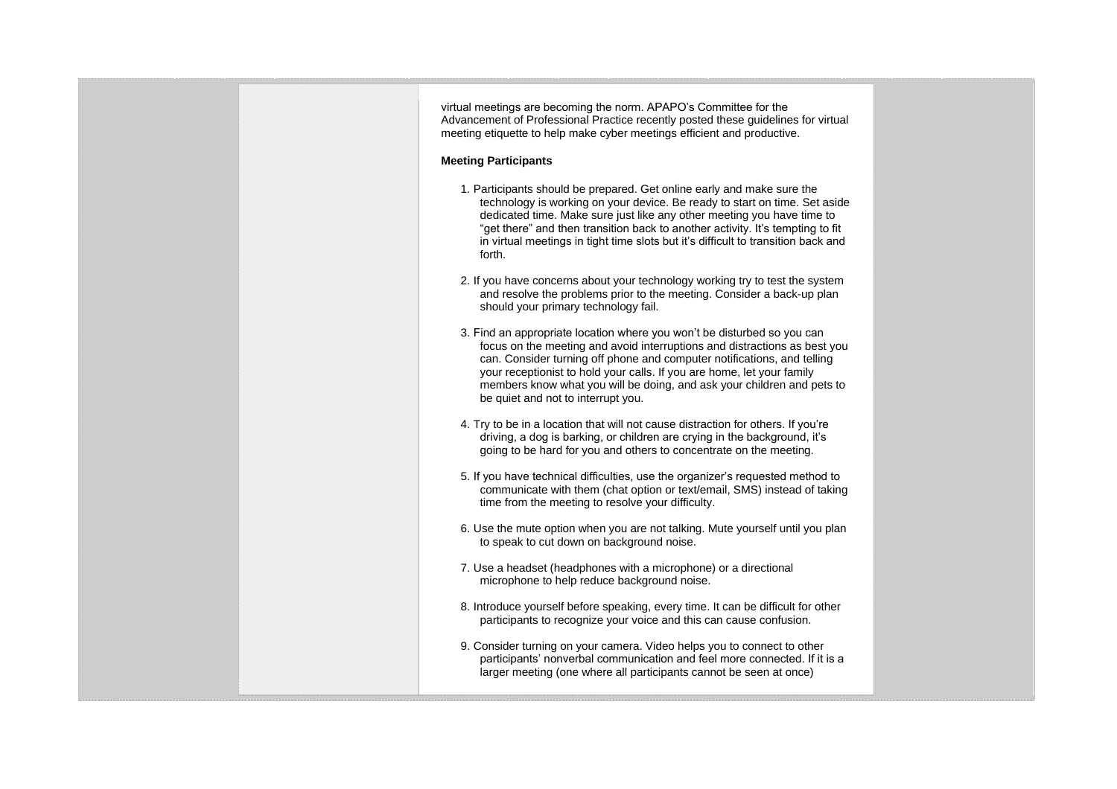virtual meetings are becoming the norm. APAPO's Committee for the Advancement of Professional Practice recently posted these guidelines for virtual meeting etiquette to help make cyber meetings efficient and productive.

#### **Meeting Participants**

- 1. Participants should be prepared. Get online early and make sure the technology is working on your device. Be ready to start on time. Set aside dedicated time. Make sure just like any other meeting you have time to "get there" and then transition back to another activity. It's tempting to fit in virtual meetings in tight time slots but it's difficult to transition back and forth.
- 2. If you have concerns about your technology working try to test the system and resolve the problems prior to the meeting. Consider a back-up plan should your primary technology fail.
- 3. Find an appropriate location where you won't be disturbed so you can focus on the meeting and avoid interruptions and distractions as best you can. Consider turning off phone and computer notifications, and telling your receptionist to hold your calls. If you are home, let your family members know what you will be doing, and ask your children and pets to be quiet and not to interrupt you.
- 4. Try to be in a location that will not cause distraction for others. If you're driving, a dog is barking, or children are crying in the background, it's going to be hard for you and others to concentrate on the meeting.
- 5. If you have technical difficulties, use the organizer's requested method to communicate with them (chat option or text/email, SMS) instead of taking time from the meeting to resolve your difficulty.
- 6. Use the mute option when you are not talking. Mute yourself until you plan to speak to cut down on background noise.
- 7. Use a headset (headphones with a microphone) or a directional microphone to help reduce background noise.
- 8. Introduce yourself before speaking, every time. It can be difficult for other participants to recognize your voice and this can cause confusion.
- 9. Consider turning on your camera. Video helps you to connect to other participants' nonverbal communication and feel more connected. If it is a larger meeting (one where all participants cannot be seen at once)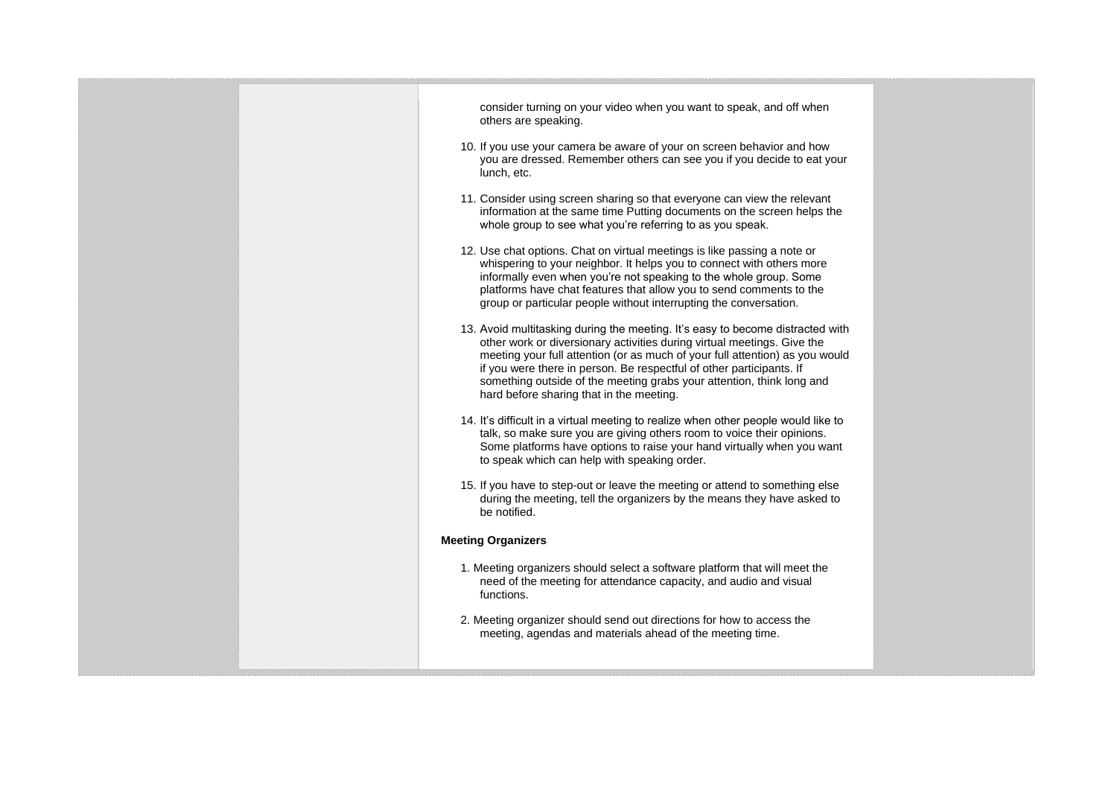